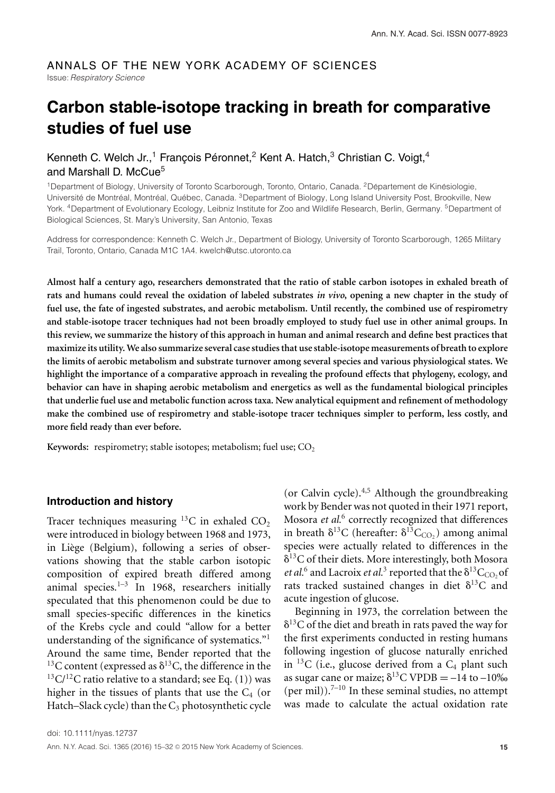## ANNALS OF THE NEW YORK ACADEMY OF SCIENCES Issue:*Respiratory Science*

# **Carbon stable-isotope tracking in breath for comparative studies of fuel use**

# Kenneth C. Welch Jr.,<sup>1</sup> François Péronnet,<sup>2</sup> Kent A. Hatch,<sup>3</sup> Christian C. Voigt,<sup>4</sup> and Marshall D. McCue<sup>5</sup>

<sup>1</sup>Department of Biology, University of Toronto Scarborough, Toronto, Ontario, Canada. <sup>2</sup>Département de Kinésiologie, Université de Montréal, Montréal, Québec, Canada. <sup>3</sup>Department of Biology, Long Island University Post, Brookville, New York. <sup>4</sup>Department of Evolutionary Ecology, Leibniz Institute for Zoo and Wildlife Research, Berlin, Germany. <sup>5</sup>Department of Biological Sciences, St. Mary's University, San Antonio, Texas

Address for correspondence: Kenneth C. Welch Jr., Department of Biology, University of Toronto Scarborough, 1265 Military Trail, Toronto, Ontario, Canada M1C 1A4. kwelch@utsc.utoronto.ca

**Almost half a century ago, researchers demonstrated that the ratio of stable carbon isotopes in exhaled breath of rats and humans could reveal the oxidation of labeled substrates** *in vivo***, opening a new chapter in the study of fuel use, the fate of ingested substrates, and aerobic metabolism. Until recently, the combined use of respirometry and stable-isotope tracer techniques had not been broadly employed to study fuel use in other animal groups. In this review, we summarize the history of this approach in human and animal research and define best practices that maximize its utility. We also summarize several case studies that use stable-isotope measurements of breath to explore the limits of aerobic metabolism and substrate turnover among several species and various physiological states. We highlight the importance of a comparative approach in revealing the profound effects that phylogeny, ecology, and behavior can have in shaping aerobic metabolism and energetics as well as the fundamental biological principles that underlie fuel use and metabolic function across taxa. New analytical equipment and refinement of methodology make the combined use of respirometry and stable-isotope tracer techniques simpler to perform, less costly, and more field ready than ever before.**

**Keywords:** respirometry; stable isotopes; metabolism; fuel use; CO<sub>2</sub>

#### **Introduction and history**

Tracer techniques measuring <sup>13</sup>C in exhaled  $CO<sub>2</sub>$ were introduced in biology between 1968 and 1973, in Liège (Belgium), following a series of observations showing that the stable carbon isotopic composition of expired breath differed among animal species. $1-3$  In 1968, researchers initially speculated that this phenomenon could be due to small species-specific differences in the kinetics of the Krebs cycle and could "allow for a better understanding of the significance of systematics."<sup>1</sup> Around the same time, Bender reported that the <sup>13</sup>C content (expressed as  $\delta$ <sup>13</sup>C, the difference in the <sup>13</sup>C/<sup>12</sup>C ratio relative to a standard; see Eq. (1)) was higher in the tissues of plants that use the  $C_4$  (or Hatch–Slack cycle) than the  $C_3$  photosynthetic cycle

(or Calvin cycle). $4,5$  Although the groundbreaking work by Bender was not quoted in their 1971 report, Mosora *et al.*<sup>6</sup> correctly recognized that differences in breath  $\delta^{13}C$  (hereafter:  $\delta^{13}C_{CO_2}$ ) among animal species were actually related to differences in the  $\delta^{13}$ C of their diets. More interestingly, both Mosora *et al.*<sup>6</sup> and Lacroix *et al.*<sup>3</sup> reported that the  $\delta^{13}C_{CO_2}$  of rats tracked sustained changes in diet  $\delta^{13}C$  and acute ingestion of glucose.

Beginning in 1973, the correlation between the  $\delta^{13}$ C of the diet and breath in rats paved the way for the first experiments conducted in resting humans following ingestion of glucose naturally enriched in  ${}^{13}C$  (i.e., glucose derived from a  $C_4$  plant such as sugar cane or maize;  $\delta^{13}$ C VPDB = -14 to -10‰ (per mil)).<sup>7–10</sup> In these seminal studies, no attempt was made to calculate the actual oxidation rate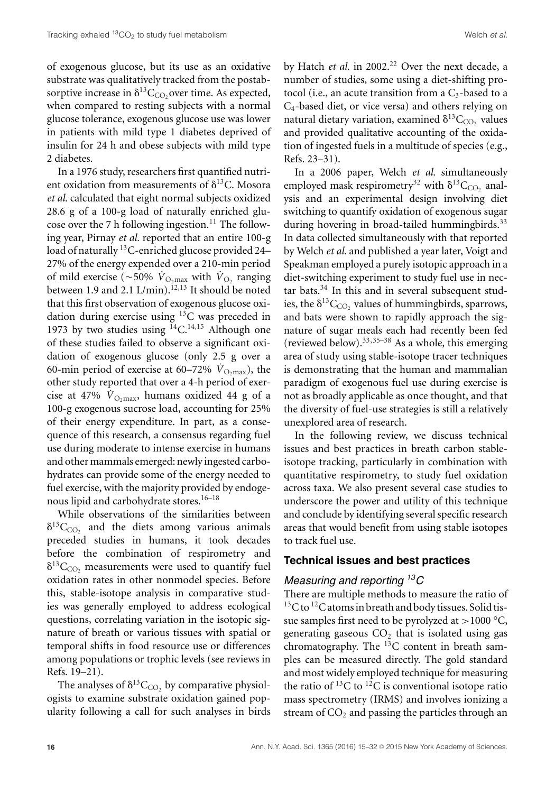of exogenous glucose, but its use as an oxidative substrate was qualitatively tracked from the postabsorptive increase in  $\delta^{13}C_{\text{CO}_2}$  over time. As expected, when compared to resting subjects with a normal glucose tolerance, exogenous glucose use was lower in patients with mild type 1 diabetes deprived of insulin for 24 h and obese subjects with mild type 2 diabetes.

In a 1976 study, researchers first quantified nutrient oxidation from measurements of  $\delta^{13}$ C. Mosora *et al.* calculated that eight normal subjects oxidized 28.6 g of a 100-g load of naturally enriched glucose over the 7 h following ingestion.<sup>11</sup> The following year, Pirnay *et al.* reported that an entire 100-g load of naturally <sup>13</sup>C-enriched glucose provided 24-27% of the energy expended over a 210-min period of mild exercise ( $\sim$  50%  $\dot{V}_{\rm O_2max}$  with  $\dot{V}_{\rm O_2}$  ranging between 1.9 and 2.1 L/min).<sup>12,13</sup> It should be noted that this first observation of exogenous glucose oxidation during exercise using 13C was preceded in 1973 by two studies using  ${}^{14}C$ ,  ${}^{14,15}$  Although one of these studies failed to observe a significant oxidation of exogenous glucose (only 2.5 g over a 60-min period of exercise at 60–72%  $\dot{V}_{\text{O}_2\text{max}}$ ), the other study reported that over a 4-h period of exercise at 47%  $\dot{V}_{\text{O}_2\text{max}}$ , humans oxidized 44 g of a 100-g exogenous sucrose load, accounting for 25% of their energy expenditure. In part, as a consequence of this research, a consensus regarding fuel use during moderate to intense exercise in humans and other mammals emerged: newly ingested carbohydrates can provide some of the energy needed to fuel exercise, with the majority provided by endogenous lipid and carbohydrate stores.<sup>16-18</sup>

While observations of the similarities between  $\delta^{13}C_{CO_2}$  and the diets among various animals preceded studies in humans, it took decades before the combination of respirometry and  $\delta^{13}C_{\text{CO}_2}$  measurements were used to quantify fuel oxidation rates in other nonmodel species. Before this, stable-isotope analysis in comparative studies was generally employed to address ecological questions, correlating variation in the isotopic signature of breath or various tissues with spatial or temporal shifts in food resource use or differences among populations or trophic levels (see reviews in Refs. 19–21).

The analyses of  $\delta^{13}C_{CO_2}$  by comparative physiologists to examine substrate oxidation gained popularity following a call for such analyses in birds by Hatch et al. in 2002.<sup>22</sup> Over the next decade, a number of studies, some using a diet-shifting protocol (i.e., an acute transition from a  $C_3$ -based to a C4-based diet, or vice versa) and others relying on natural dietary variation, examined  $\delta^{13}\mathrm{C}_{\mathrm{CO}_2}$  values and provided qualitative accounting of the oxidation of ingested fuels in a multitude of species (e.g., Refs. 23–31).

In a 2006 paper, Welch *et al.* simultaneously employed mask respirometry $^{32}$  with  $\delta^{13}\mathrm{C}_{\mathrm{CO}_2}$  analysis and an experimental design involving diet switching to quantify oxidation of exogenous sugar during hovering in broad-tailed hummingbirds. $33$ In data collected simultaneously with that reported by Welch *et al.* and published a year later, Voigt and Speakman employed a purely isotopic approach in a diet-switching experiment to study fuel use in nectar bats.<sup>34</sup> In this and in several subsequent studies, the  $\delta^{13}\mathrm{C}_{\mathrm{CO}_2}$  values of hummingbirds, sparrows, and bats were shown to rapidly approach the signature of sugar meals each had recently been fed (reviewed below).  $33,35-38$  As a whole, this emerging area of study using stable-isotope tracer techniques is demonstrating that the human and mammalian paradigm of exogenous fuel use during exercise is not as broadly applicable as once thought, and that the diversity of fuel-use strategies is still a relatively unexplored area of research.

In the following review, we discuss technical issues and best practices in breath carbon stableisotope tracking, particularly in combination with quantitative respirometry, to study fuel oxidation across taxa. We also present several case studies to underscore the power and utility of this technique and conclude by identifying several specific research areas that would benefit from using stable isotopes to track fuel use.

#### **Technical issues and best practices**

#### *Measuring and reporting 13C*

There are multiple methods to measure the ratio of  $13C$  to  $12C$  atoms in breath and body tissues. Solid tissue samples first need to be pyrolyzed at *>*1000 °C, generating gaseous  $CO<sub>2</sub>$  that is isolated using gas chromatography. The  $^{13}$ C content in breath samples can be measured directly. The gold standard and most widely employed technique for measuring the ratio of  ${}^{13}$ C to  ${}^{12}$ C is conventional isotope ratio mass spectrometry (IRMS) and involves ionizing a stream of  $CO<sub>2</sub>$  and passing the particles through an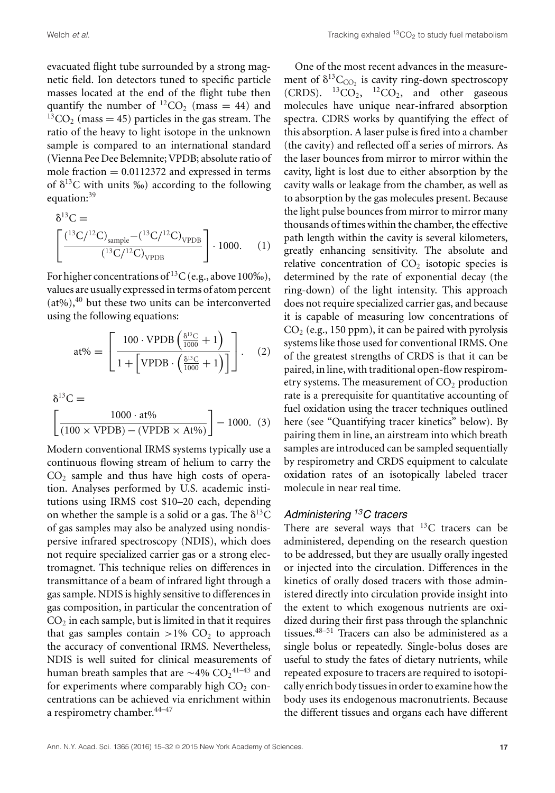evacuated flight tube surrounded by a strong magnetic field. Ion detectors tuned to specific particle masses located at the end of the flight tube then quantify the number of  ${}^{12}CO_2$  (mass = 44) and  ${}^{13}CO_2$  (mass = 45) particles in the gas stream. The ratio of the heavy to light isotope in the unknown sample is compared to an international standard (Vienna Pee Dee Belemnite; VPDB; absolute ratio of mole fraction  $= 0.0112372$  and expressed in terms of  $\delta^{13}$ C with units ‰) according to the following equation:<sup>39</sup>

$$
\delta^{13}C = \left[\frac{\binom{13}{2}C^{12}C_{\text{sample}} - \binom{13}{2}C^{12}C_{\text{VPDB}}}{\binom{13}{2}C^{12}C_{\text{VPDB}}}\right] \cdot 1000. \quad (1)
$$

For higher concentrations of  ${}^{13}C$  (e.g., above 100‰), values are usually expressed in terms of atom percent  $(at\%)$ ,<sup>40</sup> but these two units can be interconverted using the following equations:

at% = 
$$
\left[ \frac{100 \cdot \text{VPDB} \left( \frac{\delta^{13}C}{1000} + 1 \right)}{1 + \left[ \text{VPDB} \cdot \left( \frac{\delta^{13}C}{1000} + 1 \right) \right]} \right].
$$
 (2)

$$
\delta^{13}C =
$$
  

$$
\left[\frac{1000 \cdot \text{at\%}}{(100 \times \text{VPDB}) - (\text{VPDB} \times \text{At\%})}\right] - 1000. (3)
$$

Modern conventional IRMS systems typically use a continuous flowing stream of helium to carry the  $CO<sub>2</sub>$  sample and thus have high costs of operation. Analyses performed by U.S. academic institutions using IRMS cost \$10–20 each, depending on whether the sample is a solid or a gas. The  $\delta^{13}C$ of gas samples may also be analyzed using nondispersive infrared spectroscopy (NDIS), which does not require specialized carrier gas or a strong electromagnet. This technique relies on differences in transmittance of a beam of infrared light through a gas sample. NDIS is highly sensitive to differences in gas composition, in particular the concentration of  $CO<sub>2</sub>$  in each sample, but is limited in that it requires that gas samples contain  $>1\%$  CO<sub>2</sub> to approach the accuracy of conventional IRMS. Nevertheless, NDIS is well suited for clinical measurements of human breath samples that are  ${\sim}4\%$   $\mathrm{CO_2}^{41\mathrm{-}43}$  and for experiments where comparably high  $CO<sub>2</sub>$  concentrations can be achieved via enrichment within a respirometry chamber.<sup>44-47</sup>

One of the most recent advances in the measurement of  $\delta^{13}C_{CO_2}$  is cavity ring-down spectroscopy (CRDS).  ${}^{13}CO_2$ ,  ${}^{12}CO_2$ , and other gaseous molecules have unique near-infrared absorption spectra. CDRS works by quantifying the effect of this absorption. A laser pulse is fired into a chamber (the cavity) and reflected off a series of mirrors. As the laser bounces from mirror to mirror within the cavity, light is lost due to either absorption by the cavity walls or leakage from the chamber, as well as to absorption by the gas molecules present. Because the light pulse bounces from mirror to mirror many thousands of times within the chamber, the effective path length within the cavity is several kilometers, greatly enhancing sensitivity. The absolute and relative concentration of  $CO<sub>2</sub>$  isotopic species is determined by the rate of exponential decay (the ring-down) of the light intensity. This approach does not require specialized carrier gas, and because it is capable of measuring low concentrations of  $CO<sub>2</sub>$  (e.g., 150 ppm), it can be paired with pyrolysis systems like those used for conventional IRMS. One of the greatest strengths of CRDS is that it can be paired, in line, with traditional open-flow respirometry systems. The measurement of  $CO<sub>2</sub>$  production rate is a prerequisite for quantitative accounting of fuel oxidation using the tracer techniques outlined here (see "Quantifying tracer kinetics" below). By pairing them in line, an airstream into which breath samples are introduced can be sampled sequentially by respirometry and CRDS equipment to calculate oxidation rates of an isotopically labeled tracer molecule in near real time.

## *Administering 13C tracers*

There are several ways that  $^{13}$ C tracers can be administered, depending on the research question to be addressed, but they are usually orally ingested or injected into the circulation. Differences in the kinetics of orally dosed tracers with those administered directly into circulation provide insight into the extent to which exogenous nutrients are oxidized during their first pass through the splanchnic tissues.48–51 Tracers can also be administered as a single bolus or repeatedly. Single-bolus doses are useful to study the fates of dietary nutrients, while repeated exposure to tracers are required to isotopically enrich body tissues in order to examine how the body uses its endogenous macronutrients. Because the different tissues and organs each have different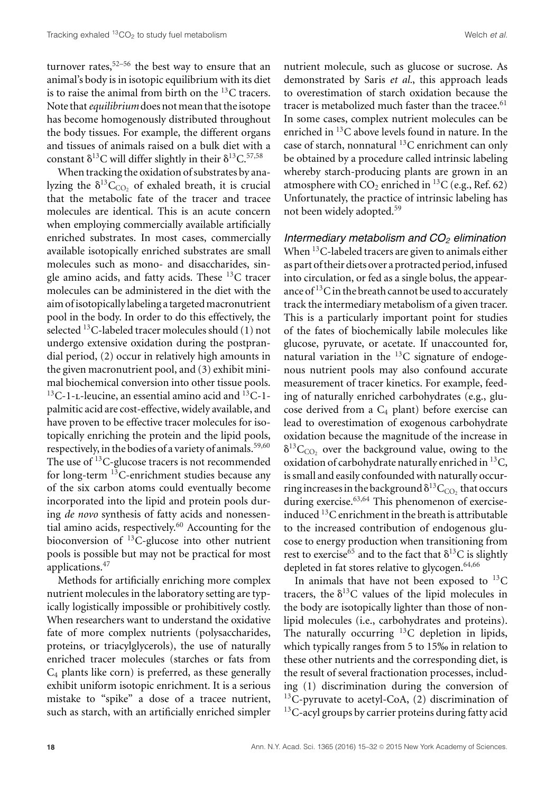turnover rates, $52-56$  the best way to ensure that an animal's body is in isotopic equilibrium with its diet is to raise the animal from birth on the  $^{13}$ C tracers. Note that*equilibrium*does not mean that the isotope has become homogenously distributed throughout the body tissues. For example, the different organs and tissues of animals raised on a bulk diet with a constant  $\delta^{13}$ C will differ slightly in their  $\delta^{13}$ C.<sup>57,58</sup>

When tracking the oxidation of substrates by analyzing the  $\delta^{13}C_{CO_2}$  of exhaled breath, it is crucial that the metabolic fate of the tracer and tracee molecules are identical. This is an acute concern when employing commercially available artificially enriched substrates. In most cases, commercially available isotopically enriched substrates are small molecules such as mono- and disaccharides, single amino acids, and fatty acids. These  $^{13}$ C tracer molecules can be administered in the diet with the aim of isotopically labeling a targeted macronutrient pool in the body. In order to do this effectively, the selected  $^{13}$ C-labeled tracer molecules should (1) not undergo extensive oxidation during the postprandial period, (2) occur in relatively high amounts in the given macronutrient pool, and (3) exhibit minimal biochemical conversion into other tissue pools.  $^{13}$ C-1-L-leucine, an essential amino acid and  $^{13}$ C-1palmitic acid are cost-effective, widely available, and have proven to be effective tracer molecules for isotopically enriching the protein and the lipid pools, respectively, in the bodies of a variety of animals.<sup>59,60</sup> The use of <sup>13</sup>C-glucose tracers is not recommended for long-term  $13C$ -enrichment studies because any of the six carbon atoms could eventually become incorporated into the lipid and protein pools during *de novo* synthesis of fatty acids and nonessential amino acids, respectively.60 Accounting for the bioconversion of  $^{13}$ C-glucose into other nutrient pools is possible but may not be practical for most applications.47

Methods for artificially enriching more complex nutrient molecules in the laboratory setting are typically logistically impossible or prohibitively costly. When researchers want to understand the oxidative fate of more complex nutrients (polysaccharides, proteins, or triacylglycerols), the use of naturally enriched tracer molecules (starches or fats from  $C_4$  plants like corn) is preferred, as these generally exhibit uniform isotopic enrichment. It is a serious mistake to "spike" a dose of a tracee nutrient, such as starch, with an artificially enriched simpler nutrient molecule, such as glucose or sucrose. As demonstrated by Saris *et al.*, this approach leads to overestimation of starch oxidation because the tracer is metabolized much faster than the tracee. $61$ In some cases, complex nutrient molecules can be enriched in  ${}^{13}$ C above levels found in nature. In the case of starch, nonnatural  $^{13}$ C enrichment can only be obtained by a procedure called intrinsic labeling whereby starch-producing plants are grown in an atmosphere with  $CO_2$  enriched in <sup>13</sup>C (e.g., Ref. 62) Unfortunately, the practice of intrinsic labeling has not been widely adopted.59

*Intermediary metabolism and CO2 elimination* When  $^{13}$ C-labeled tracers are given to animals either as part of their diets over a protracted period, infused into circulation, or fed as a single bolus, the appearance of  $^{13}$ C in the breath cannot be used to accurately track the intermediary metabolism of a given tracer. This is a particularly important point for studies of the fates of biochemically labile molecules like glucose, pyruvate, or acetate. If unaccounted for, natural variation in the  $^{13}$ C signature of endogenous nutrient pools may also confound accurate measurement of tracer kinetics. For example, feeding of naturally enriched carbohydrates (e.g., glucose derived from a  $C_4$  plant) before exercise can lead to overestimation of exogenous carbohydrate oxidation because the magnitude of the increase in  $\delta^{13}C_{CO_2}$  over the background value, owing to the oxidation of carbohydrate naturally enriched in  ${}^{13}C$ , is small and easily confounded with naturally occurring increases in the background  $\delta^{13}\mathrm{C}_{\mathrm{CO}_2}$  that occurs during exercise.<sup>63,64</sup> This phenomenon of exerciseinduced 13C enrichment in the breath is attributable to the increased contribution of endogenous glucose to energy production when transitioning from rest to exercise<sup>65</sup> and to the fact that  $\delta^{13}C$  is slightly depleted in fat stores relative to glycogen.<sup>64,66</sup>

In animals that have not been exposed to  $^{13}$ C tracers, the  $\delta^{13}$ C values of the lipid molecules in the body are isotopically lighter than those of nonlipid molecules (i.e., carbohydrates and proteins). The naturally occurring <sup>13</sup>C depletion in lipids, which typically ranges from 5 to 15‰ in relation to these other nutrients and the corresponding diet, is the result of several fractionation processes, including (1) discrimination during the conversion of  $13^{\circ}$ C-pyruvate to acetyl-CoA, (2) discrimination of  $13$ C-acyl groups by carrier proteins during fatty acid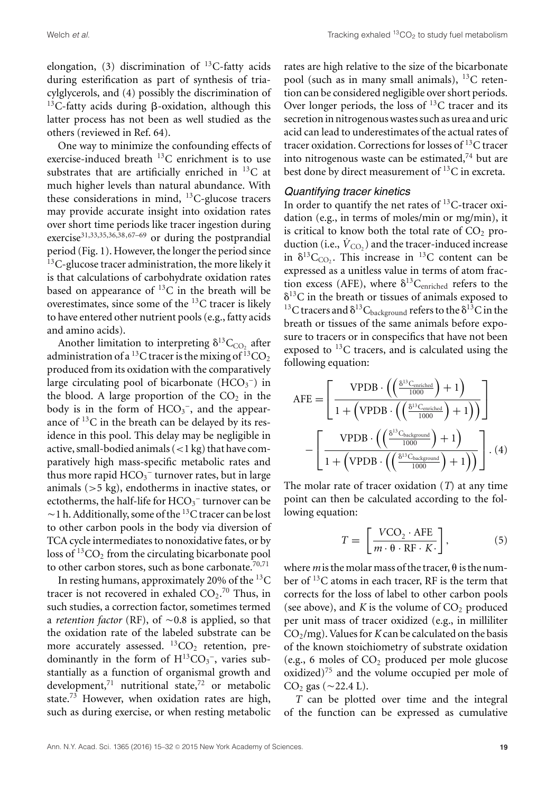elongation, (3) discrimination of  $^{13}$ C-fatty acids during esterification as part of synthesis of triacylglycerols, and (4) possibly the discrimination of <sup>13</sup>C-fatty acids during  $\beta$ -oxidation, although this latter process has not been as well studied as the others (reviewed in Ref. 64).

One way to minimize the confounding effects of exercise-induced breath 13C enrichment is to use substrates that are artificially enriched in  $^{13}$ C at much higher levels than natural abundance. With these considerations in mind,  $^{13}$ C-glucose tracers may provide accurate insight into oxidation rates over short time periods like tracer ingestion during exercise<sup>31,33,35,36,38,67–69</sup> or during the postprandial period (Fig. 1). However, the longer the period since <sup>13</sup>C-glucose tracer administration, the more likely it is that calculations of carbohydrate oxidation rates based on appearance of  $^{13}$ C in the breath will be overestimates, since some of the  $^{13}$ C tracer is likely to have entered other nutrient pools (e.g., fatty acids and amino acids).

Another limitation to interpreting  $\delta^{13}\text{C}_{\text{CO}_2}$  after administration of a <sup>13</sup>C tracer is the mixing of <sup>13</sup>CO<sub>2</sub> produced from its oxidation with the comparatively large circulating pool of bicarbonate  $(HCO_3^-)$  in the blood. A large proportion of the  $CO<sub>2</sub>$  in the body is in the form of  $HCO<sub>3</sub><sup>-</sup>$ , and the appearance of  $^{13}$ C in the breath can be delayed by its residence in this pool. This delay may be negligible in active, small-bodied animals (*<*1 kg) that have comparatively high mass-specific metabolic rates and thus more rapid  $HCO<sub>3</sub><sup>-</sup>$  turnover rates, but in large animals (*>*5 kg), endotherms in inactive states, or ectotherms, the half-life for  $HCO_3^-$  turnover can be  $\sim$  1 h. Additionally, some of the <sup>13</sup>C tracer can be lost to other carbon pools in the body via diversion of TCA cycle intermediates to nonoxidative fates, or by loss of  ${}^{13}CO_2$  from the circulating bicarbonate pool to other carbon stores, such as bone carbonate. $70,71$ 

In resting humans, approximately 20% of the  $^{13}$ C tracer is not recovered in exhaled  $CO_2$ .<sup>70</sup> Thus, in such studies, a correction factor, sometimes termed a *retention factor* (RF), of  $\sim 0.8$  is applied, so that the oxidation rate of the labeled substrate can be more accurately assessed.  ${}^{13}CO_2$  retention, predominantly in the form of  $H^{13}CO_3^-$ , varies substantially as a function of organismal growth and development,<sup>71</sup> nutritional state,<sup>72</sup> or metabolic state.<sup>73</sup> However, when oxidation rates are high, such as during exercise, or when resting metabolic rates are high relative to the size of the bicarbonate pool (such as in many small animals),  $^{13}$ C retention can be considered negligible over short periods. Over longer periods, the loss of  $^{13}$ C tracer and its secretion in nitrogenous wastes such as urea and uric acid can lead to underestimates of the actual rates of tracer oxidation. Corrections for losses of  $^{13}$ C tracer into nitrogenous waste can be estimated, $74$  but are best done by direct measurement of 13C in excreta.

## *Quantifying tracer kinetics*

In order to quantify the net rates of <sup>13</sup>C-tracer oxidation (e.g., in terms of moles/min or mg/min), it is critical to know both the total rate of  $CO<sub>2</sub>$  production (i.e.,  $\dot{V}_{\text{CO}_2}$ ) and the tracer-induced increase in  $\delta^{13}C_{CO_2}$ . This increase in <sup>13</sup>C content can be expressed as a unitless value in terms of atom fraction excess (AFE), where  $\delta^{13}C_{\text{enriched}}$  refers to the  $\delta^{13}$ C in the breath or tissues of animals exposed to <sup>13</sup>C tracers and  $\delta^{13}C_{\text{background}}$  refers to the  $\delta^{13}C$  in the breath or tissues of the same animals before exposure to tracers or in conspecifics that have not been exposed to  $^{13}$ C tracers, and is calculated using the following equation:

$$
AFE = \left[ \frac{VPDB \cdot \left( \left( \frac{\delta^{13}C_{enriched}}{1000} \right) + 1 \right)}{1 + \left( VPDB \cdot \left( \left( \frac{\delta^{13}C_{enriched}}{1000} \right) + 1 \right) \right)} \right] - \left[ \frac{VPDB \cdot \left( \left( \frac{\delta^{13}C_{hackground}}{1000} \right) + 1 \right)}{1 + \left( VPDB \cdot \left( \left( \frac{\delta^{13}C_{hackground}}{1000} \right) + 1 \right) \right)} \right].
$$
 (4)

The molar rate of tracer oxidation (*T*) at any time point can then be calculated according to the following equation:

$$
T = \left[\frac{VCO_2 \cdot AFE}{m \cdot \theta \cdot RF \cdot K}\right],\tag{5}
$$

where *m* is the molar mass of the tracer,  $\theta$  is the number of  $^{13}$ C atoms in each tracer, RF is the term that corrects for the loss of label to other carbon pools (see above), and  $K$  is the volume of  $CO<sub>2</sub>$  produced per unit mass of tracer oxidized (e.g., in milliliter  $CO<sub>2</sub>/mg$ ). Values for *K* can be calculated on the basis of the known stoichiometry of substrate oxidation (e.g., 6 moles of  $CO<sub>2</sub>$  produced per mole glucose oxidized)<sup>75</sup> and the volume occupied per mole of  $CO<sub>2</sub>$  gas ( $\sim$ 22.4 L).

*T* can be plotted over time and the integral of the function can be expressed as cumulative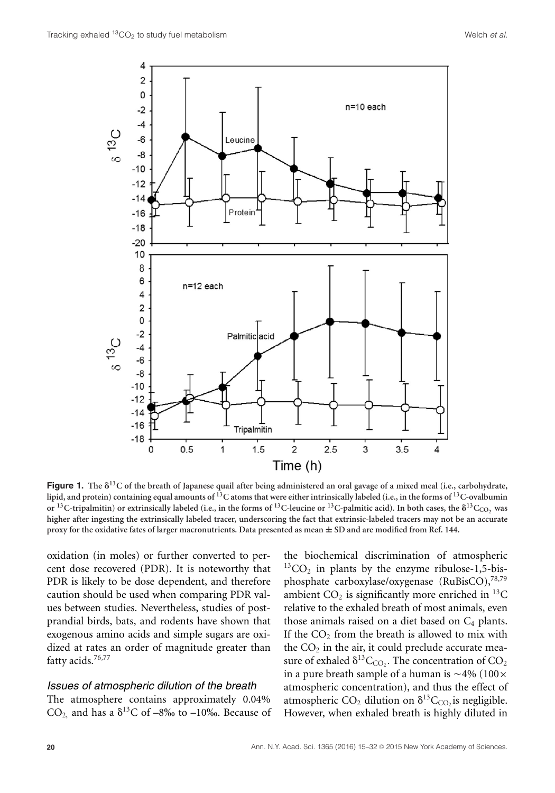

Figure 1. The  $\delta^{13}$ C of the breath of Japanese quail after being administered an oral gavage of a mixed meal (i.e., carbohydrate, **lipid, and protein) containing equal amounts of 13C atoms that were either intrinsically labeled (i.e., in the forms of 13C-ovalbumin** or <sup>13</sup>C-tripalmitin) or extrinsically labeled (i.e., in the forms of <sup>13</sup>C-leucine or <sup>13</sup>C-palmitic acid). In both cases, the  $\delta^{13}C_{CO_2}$  was **higher after ingesting the extrinsically labeled tracer, underscoring the fact that extrinsic-labeled tracers may not be an accurate proxy for the oxidative fates of larger macronutrients. Data presented as mean ± SD and are modified from Ref. 144.**

oxidation (in moles) or further converted to percent dose recovered (PDR). It is noteworthy that PDR is likely to be dose dependent, and therefore caution should be used when comparing PDR values between studies. Nevertheless, studies of postprandial birds, bats, and rodents have shown that exogenous amino acids and simple sugars are oxidized at rates an order of magnitude greater than fatty acids.<sup>76,77</sup>

## *Issues of atmospheric dilution of the breath*

The atmosphere contains approximately 0.04% CO<sub>2</sub>, and has a  $\delta^{13}$ C of -8‰ to -10‰. Because of

the biochemical discrimination of atmospheric  $^{13}CO<sub>2</sub>$  in plants by the enzyme ribulose-1,5-bisphosphate carboxylase/oxygenase (RuBisCO), $^{78,79}$ ambient  $CO<sub>2</sub>$  is significantly more enriched in <sup>13</sup>C relative to the exhaled breath of most animals, even those animals raised on a diet based on  $C_4$  plants. If the  $CO<sub>2</sub>$  from the breath is allowed to mix with the  $CO<sub>2</sub>$  in the air, it could preclude accurate measure of exhaled  $\delta^{13}\text{C}_{\text{CO}_2}$ . The concentration of  $\text{CO}_2$ in a pure breath sample of a human is  $\sim$ 4% (100 $\times$ atmospheric concentration), and thus the effect of atmospheric CO<sub>2</sub> dilution on  $\delta^{13}C_{\text{CO}_2}$ is negligible. However, when exhaled breath is highly diluted in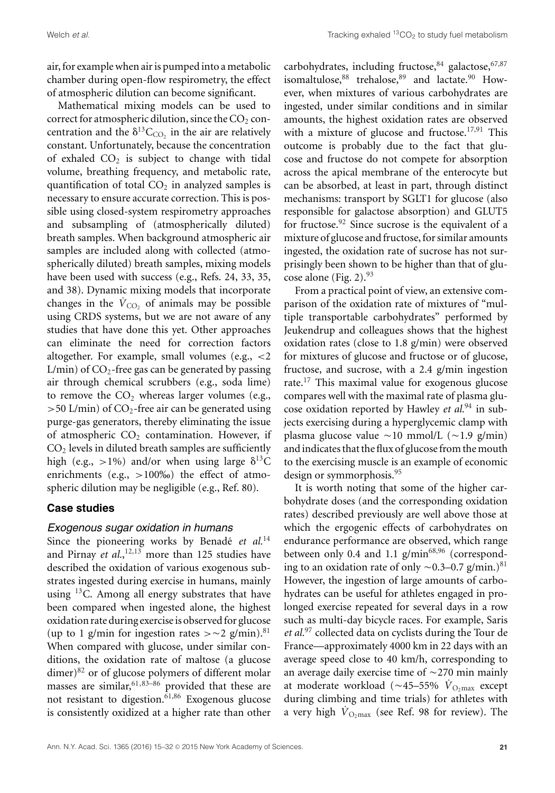air, for example when air is pumped into a metabolic chamber during open-flow respirometry, the effect of atmospheric dilution can become significant.

Mathematical mixing models can be used to correct for atmospheric dilution, since the  $CO<sub>2</sub>$  concentration and the  $\delta^{13}C_{CO_2}$  in the air are relatively constant. Unfortunately, because the concentration of exhaled  $CO<sub>2</sub>$  is subject to change with tidal volume, breathing frequency, and metabolic rate, quantification of total  $CO<sub>2</sub>$  in analyzed samples is necessary to ensure accurate correction. This is possible using closed-system respirometry approaches and subsampling of (atmospherically diluted) breath samples. When background atmospheric air samples are included along with collected (atmospherically diluted) breath samples, mixing models have been used with success (e.g., Refs. 24, 33, 35, and 38). Dynamic mixing models that incorporate changes in the  $\dot{V}_{\text{CO}}$  of animals may be possible using CRDS systems, but we are not aware of any studies that have done this yet. Other approaches can eliminate the need for correction factors altogether. For example, small volumes (e.g., *<*2  $L/min$ ) of  $CO<sub>2</sub>$ -free gas can be generated by passing air through chemical scrubbers (e.g., soda lime) to remove the  $CO<sub>2</sub>$  whereas larger volumes (e.g.,  $>$ 50 L/min) of CO<sub>2</sub>-free air can be generated using purge-gas generators, thereby eliminating the issue of atmospheric  $CO<sub>2</sub>$  contamination. However, if  $CO<sub>2</sub>$  levels in diluted breath samples are sufficiently high (e.g.,  $>1\%$ ) and/or when using large  $\delta^{13}$ C enrichments (e.g., *>*100‰) the effect of atmospheric dilution may be negligible (e.g., Ref. 80).

# **Case studies**

## *Exogenous sugar oxidation in humans*

Since the pioneering works by Benadé et al.<sup>14</sup> and Pirnay et al.,<sup>12,13</sup> more than 125 studies have described the oxidation of various exogenous substrates ingested during exercise in humans, mainly using  $^{13}$ C. Among all energy substrates that have been compared when ingested alone, the highest oxidation rate during exerciseis observedfor glucose (up to 1 g/min for ingestion rates  $>$   $\sim$  2 g/min).<sup>81</sup> When compared with glucose, under similar conditions, the oxidation rate of maltose (a glucose  $dimer$ <sup>82</sup> or of glucose polymers of different molar masses are similar,  $61,83-86$  provided that these are not resistant to digestion.<sup>61,86</sup> Exogenous glucose is consistently oxidized at a higher rate than other carbohydrates, including fructose, 84 galactose, 67,87 isomaltulose, <sup>88</sup> trehalose, <sup>89</sup> and lactate. <sup>90</sup> However, when mixtures of various carbohydrates are ingested, under similar conditions and in similar amounts, the highest oxidation rates are observed with a mixture of glucose and fructose.<sup>17,91</sup> This outcome is probably due to the fact that glucose and fructose do not compete for absorption across the apical membrane of the enterocyte but can be absorbed, at least in part, through distinct mechanisms: transport by SGLT1 for glucose (also responsible for galactose absorption) and GLUT5 for fructose. $92$  Since sucrose is the equivalent of a mixture of glucose and fructose, for similar amounts ingested, the oxidation rate of sucrose has not surprisingly been shown to be higher than that of glucose alone (Fig. 2).<sup>93</sup>

From a practical point of view, an extensive comparison of the oxidation rate of mixtures of "multiple transportable carbohydrates" performed by Jeukendrup and colleagues shows that the highest oxidation rates (close to 1.8 g/min) were observed for mixtures of glucose and fructose or of glucose, fructose, and sucrose, with a 2.4 g/min ingestion rate.<sup>17</sup> This maximal value for exogenous glucose compares well with the maximal rate of plasma glucose oxidation reported by Hawley *et al.*<sup>94</sup> in subjects exercising during a hyperglycemic clamp with plasma glucose value  $\sim$ 10 mmol/L ( $\sim$ 1.9 g/min) and indicates that the flux of glucose from the mouth to the exercising muscle is an example of economic design or symmorphosis.<sup>95</sup>

It is worth noting that some of the higher carbohydrate doses (and the corresponding oxidation rates) described previously are well above those at which the ergogenic effects of carbohydrates on endurance performance are observed, which range between only 0.4 and 1.1  $g/min^{68,96}$  (corresponding to an oxidation rate of only  $\sim$ 0.3–0.7 g/min.)<sup>81</sup> However, the ingestion of large amounts of carbohydrates can be useful for athletes engaged in prolonged exercise repeated for several days in a row such as multi-day bicycle races. For example, Saris *et al.*<sup>97</sup> collected data on cyclists during the Tour de France—approximately 4000 km in 22 days with an average speed close to 40 km/h, corresponding to an average daily exercise time of  $\sim$ 270 min mainly at moderate workload (~45–55%  $\dot{V}_{\text{O}_2\text{max}}$  except during climbing and time trials) for athletes with a very high  $\dot{V}_{\text{O,max}}$  (see Ref. 98 for review). The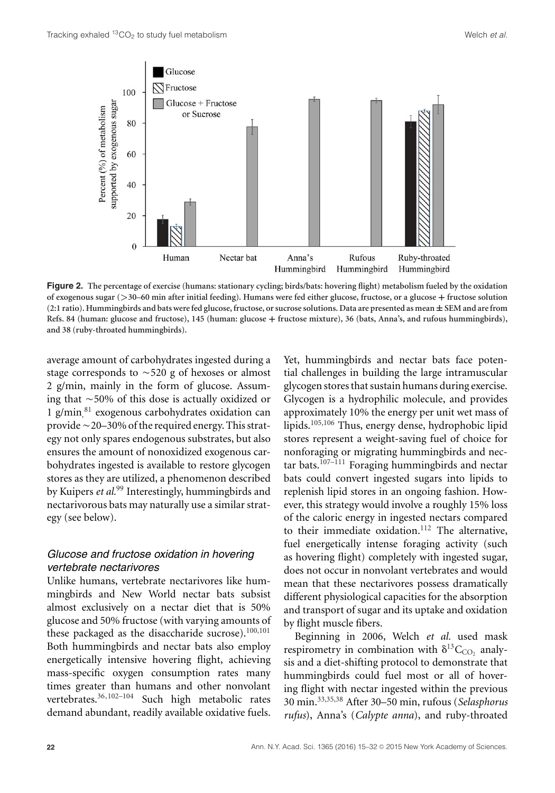

**Figure 2. The percentage of exercise (humans: stationary cycling; birds/bats: hovering flight) metabolism fueled by the oxidation of exogenous sugar (***>***30–60 min after initial feeding). Humans were fed either glucose, fructose, or a glucose + fructose solution (2:1 ratio). Hummingbirds and bats were fed glucose, fructose, or sucrose solutions. Data are presented as mean ± SEM and are from Refs. 84 (human: glucose and fructose), 145 (human: glucose + fructose mixture), 36 (bats, Anna's, and rufous hummingbirds), and 38 (ruby-throated hummingbirds).**

average amount of carbohydrates ingested during a stage corresponds to  $\sim$  520 g of hexoses or almost 2 g/min, mainly in the form of glucose. Assuming that ~50% of this dose is actually oxidized or 1 g/min, <sup>81</sup> exogenous carbohydrates oxidation can provide  $\sim$  20–30% of the required energy. This strategy not only spares endogenous substrates, but also ensures the amount of nonoxidized exogenous carbohydrates ingested is available to restore glycogen stores as they are utilized, a phenomenon described by Kuipers *et al.*<sup>99</sup> Interestingly, hummingbirds and nectarivorous bats may naturally use a similar strategy (see below).

# *Glucose and fructose oxidation in hovering vertebrate nectarivores*

Unlike humans, vertebrate nectarivores like hummingbirds and New World nectar bats subsist almost exclusively on a nectar diet that is 50% glucose and 50% fructose (with varying amounts of these packaged as the disaccharide sucrose).<sup>100,101</sup> Both hummingbirds and nectar bats also employ energetically intensive hovering flight, achieving mass-specific oxygen consumption rates many times greater than humans and other nonvolant vertebrates.36,102–104 Such high metabolic rates demand abundant, readily available oxidative fuels. Yet, hummingbirds and nectar bats face potential challenges in building the large intramuscular glycogen stores that sustain humans during exercise. Glycogen is a hydrophilic molecule, and provides approximately 10% the energy per unit wet mass of lipids.105,106 Thus, energy dense, hydrophobic lipid stores represent a weight-saving fuel of choice for nonforaging or migrating hummingbirds and nectar bats.<sup>107–111</sup> Foraging hummingbirds and nectar bats could convert ingested sugars into lipids to replenish lipid stores in an ongoing fashion. However, this strategy would involve a roughly 15% loss of the caloric energy in ingested nectars compared to their immediate oxidation.<sup>112</sup> The alternative, fuel energetically intense foraging activity (such as hovering flight) completely with ingested sugar, does not occur in nonvolant vertebrates and would mean that these nectarivores possess dramatically different physiological capacities for the absorption and transport of sugar and its uptake and oxidation by flight muscle fibers.

Beginning in 2006, Welch *et al.* used mask respirometry in combination with  $\delta^{13}C_{CO_2}$  analysis and a diet-shifting protocol to demonstrate that hummingbirds could fuel most or all of hovering flight with nectar ingested within the previous 30 min.33,35,38 After 30–50 min, rufous (*Selasphorus rufus*), Anna's (*Calypte anna*), and ruby-throated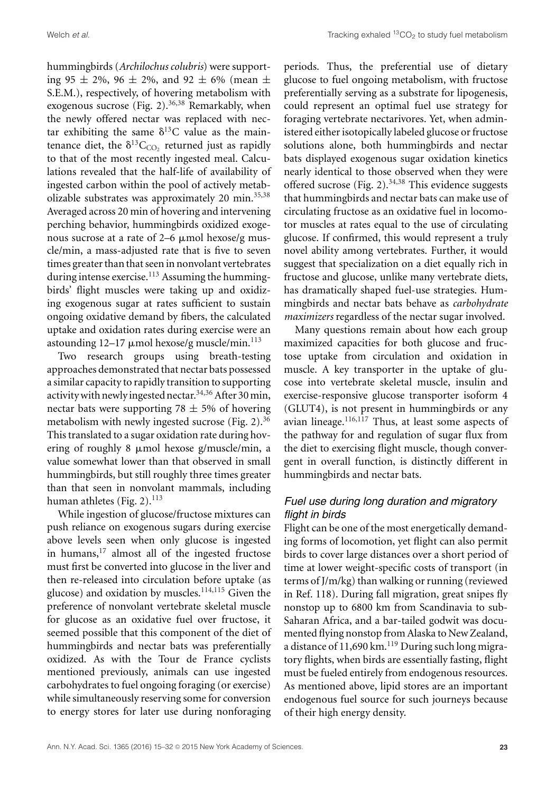hummingbirds (*Archilochus colubris*) were supporting 95  $\pm$  2%, 96  $\pm$  2%, and 92  $\pm$  6% (mean  $\pm$ S.E.M.), respectively, of hovering metabolism with exogenous sucrose (Fig.  $2$ ).<sup>36,38</sup> Remarkably, when the newly offered nectar was replaced with nectar exhibiting the same  $\delta^{13}$ C value as the maintenance diet, the  $\delta^{13}C_{CO_2}$  returned just as rapidly to that of the most recently ingested meal. Calculations revealed that the half-life of availability of ingested carbon within the pool of actively metabolizable substrates was approximately 20 min.<sup>35,38</sup> Averaged across 20 min of hovering and intervening perching behavior, hummingbirds oxidized exogenous sucrose at a rate of  $2-6 \mu$  mol hexose/g muscle/min, a mass-adjusted rate that is five to seven times greater than that seen in nonvolant vertebrates during intense exercise.<sup>113</sup> Assuming the hummingbirds' flight muscles were taking up and oxidizing exogenous sugar at rates sufficient to sustain ongoing oxidative demand by fibers, the calculated uptake and oxidation rates during exercise were an astounding  $12-17 \mu$  mol hexose/g muscle/min.<sup>113</sup>

Two research groups using breath-testing approaches demonstrated that nectar bats possessed a similar capacity to rapidly transition to supporting activitywith newlyingested nectar.34,36 After 30min, nectar bats were supporting 78  $\pm$  5% of hovering metabolism with newly ingested sucrose (Fig. 2). $36$ This translated to a sugar oxidation rate during hovering of roughly 8  $\mu$ mol hexose g/muscle/min, a value somewhat lower than that observed in small hummingbirds, but still roughly three times greater than that seen in nonvolant mammals, including human athletes (Fig. 2). $^{113}$ 

While ingestion of glucose/fructose mixtures can push reliance on exogenous sugars during exercise above levels seen when only glucose is ingested in humans, $17$  almost all of the ingested fructose must first be converted into glucose in the liver and then re-released into circulation before uptake (as glucose) and oxidation by muscles.<sup>114,115</sup> Given the preference of nonvolant vertebrate skeletal muscle for glucose as an oxidative fuel over fructose, it seemed possible that this component of the diet of hummingbirds and nectar bats was preferentially oxidized. As with the Tour de France cyclists mentioned previously, animals can use ingested carbohydrates to fuel ongoing foraging (or exercise) while simultaneously reserving some for conversion to energy stores for later use during nonforaging

periods. Thus, the preferential use of dietary glucose to fuel ongoing metabolism, with fructose preferentially serving as a substrate for lipogenesis, could represent an optimal fuel use strategy for foraging vertebrate nectarivores. Yet, when administered either isotopically labeled glucose or fructose solutions alone, both hummingbirds and nectar bats displayed exogenous sugar oxidation kinetics nearly identical to those observed when they were offered sucrose (Fig. 2). $34,38$  This evidence suggests that hummingbirds and nectar bats can make use of circulating fructose as an oxidative fuel in locomotor muscles at rates equal to the use of circulating glucose. If confirmed, this would represent a truly novel ability among vertebrates. Further, it would suggest that specialization on a diet equally rich in fructose and glucose, unlike many vertebrate diets, has dramatically shaped fuel-use strategies. Hummingbirds and nectar bats behave as *carbohydrate maximizers* regardless of the nectar sugar involved.

Many questions remain about how each group maximized capacities for both glucose and fructose uptake from circulation and oxidation in muscle. A key transporter in the uptake of glucose into vertebrate skeletal muscle, insulin and exercise-responsive glucose transporter isoform 4 (GLUT4), is not present in hummingbirds or any avian lineage. $116,117$  Thus, at least some aspects of the pathway for and regulation of sugar flux from the diet to exercising flight muscle, though convergent in overall function, is distinctly different in hummingbirds and nectar bats.

# *Fuel use during long duration and migratory flight in birds*

Flight can be one of the most energetically demanding forms of locomotion, yet flight can also permit birds to cover large distances over a short period of time at lower weight-specific costs of transport (in terms of J/m/kg) than walking or running (reviewed in Ref. 118). During fall migration, great snipes fly nonstop up to 6800 km from Scandinavia to sub-Saharan Africa, and a bar-tailed godwit was documented flying nonstop from Alaska to New Zealand, a distance of  $11,690 \text{ km}$ .<sup>119</sup> During such long migratory flights, when birds are essentially fasting, flight must be fueled entirely from endogenous resources. As mentioned above, lipid stores are an important endogenous fuel source for such journeys because of their high energy density.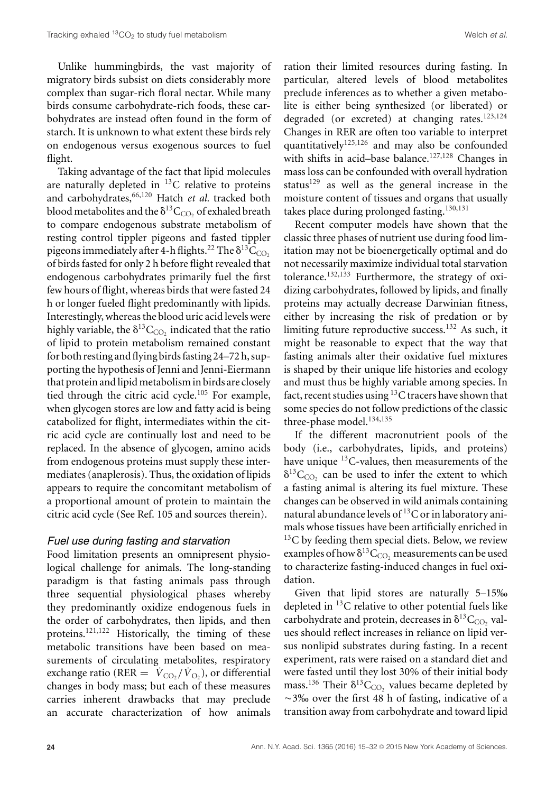Unlike hummingbirds, the vast majority of migratory birds subsist on diets considerably more complex than sugar-rich floral nectar. While many birds consume carbohydrate-rich foods, these carbohydrates are instead often found in the form of starch. It is unknown to what extent these birds rely on endogenous versus exogenous sources to fuel flight.

Taking advantage of the fact that lipid molecules are naturally depleted in  $^{13}$ C relative to proteins and carbohydrates,<sup>66,120</sup> Hatch et al. tracked both blood metabolites and the  $\delta^{13}\mathrm{C}_\mathrm{CO_2}$  of exhaled breath to compare endogenous substrate metabolism of resting control tippler pigeons and fasted tippler pigeons immediately after 4-h flights. $^{22}$  The  $\delta^{13}\mathrm{C}_{\mathrm{CO}_2}$ of birds fasted for only 2 h before flight revealed that endogenous carbohydrates primarily fuel the first few hours of flight, whereas birds that were fasted 24 h or longer fueled flight predominantly with lipids. Interestingly, whereas the blood uric acid levels were highly variable, the  $\delta^{13}\mathrm{C}_{\mathrm{CO}_2}$  indicated that the ratio of lipid to protein metabolism remained constant for both resting and flying birds fasting  $24-72$  h, supporting the hypothesis of Jenni and Jenni-Eiermann that protein and lipid metabolism in birds are closely tied through the citric acid cycle.<sup>105</sup> For example, when glycogen stores are low and fatty acid is being catabolized for flight, intermediates within the citric acid cycle are continually lost and need to be replaced. In the absence of glycogen, amino acids from endogenous proteins must supply these intermediates (anaplerosis). Thus, the oxidation of lipids appears to require the concomitant metabolism of a proportional amount of protein to maintain the citric acid cycle (See Ref. 105 and sources therein).

#### *Fuel use during fasting and starvation*

Food limitation presents an omnipresent physiological challenge for animals. The long-standing paradigm is that fasting animals pass through three sequential physiological phases whereby they predominantly oxidize endogenous fuels in the order of carbohydrates, then lipids, and then proteins.121,122 Historically, the timing of these metabolic transitions have been based on measurements of circulating metabolites, respiratory exchange ratio (RER =  $\dot{V}_{\text{CO}_2}/\dot{V}_{\text{O}_2}$ ), or differential changes in body mass; but each of these measures carries inherent drawbacks that may preclude an accurate characterization of how animals ration their limited resources during fasting. In particular, altered levels of blood metabolites preclude inferences as to whether a given metabolite is either being synthesized (or liberated) or degraded (or excreted) at changing rates. $123,124$ Changes in RER are often too variable to interpret quantitatively<sup>125,126</sup> and may also be confounded with shifts in acid–base balance.<sup>127,128</sup> Changes in mass loss can be confounded with overall hydration status $129$  as well as the general increase in the moisture content of tissues and organs that usually takes place during prolonged fasting.<sup>130,131</sup>

Recent computer models have shown that the classic three phases of nutrient use during food limitation may not be bioenergetically optimal and do not necessarily maximize individual total starvation tolerance.132,133 Furthermore, the strategy of oxidizing carbohydrates, followed by lipids, and finally proteins may actually decrease Darwinian fitness, either by increasing the risk of predation or by limiting future reproductive success.<sup>132</sup> As such, it might be reasonable to expect that the way that fasting animals alter their oxidative fuel mixtures is shaped by their unique life histories and ecology and must thus be highly variable among species. In fact, recent studies using 13C tracers have shown that some species do not follow predictions of the classic three-phase model.<sup>134,135</sup>

If the different macronutrient pools of the body (i.e., carbohydrates, lipids, and proteins) have unique  $^{13}$ C-values, then measurements of the  $\delta^{13}C_{CO_2}$  can be used to infer the extent to which a fasting animal is altering its fuel mixture. These changes can be observed in wild animals containing natural abundance levels of  $^{13}$ C or in laboratory animals whose tissues have been artificially enriched in  $13^{\circ}$ C by feeding them special diets. Below, we review examples of how  $\delta^{13}\mathrm{C}_\mathrm{CO_2}$  measurements can be used to characterize fasting-induced changes in fuel oxidation.

Given that lipid stores are naturally 5–15‰ depleted in  ${}^{13}C$  relative to other potential fuels like carbohydrate and protein, decreases in  $\delta^{13}\mathrm{C}_{\mathrm{CO}_2}$  values should reflect increases in reliance on lipid versus nonlipid substrates during fasting. In a recent experiment, rats were raised on a standard diet and were fasted until they lost 30% of their initial body mass. $^{136}$  Their  $\delta^{13}\mathrm{C}_{\mathrm{CO}_2}$  values became depleted by  $\sim$ 3‰ over the first 48 h of fasting, indicative of a transition away from carbohydrate and toward lipid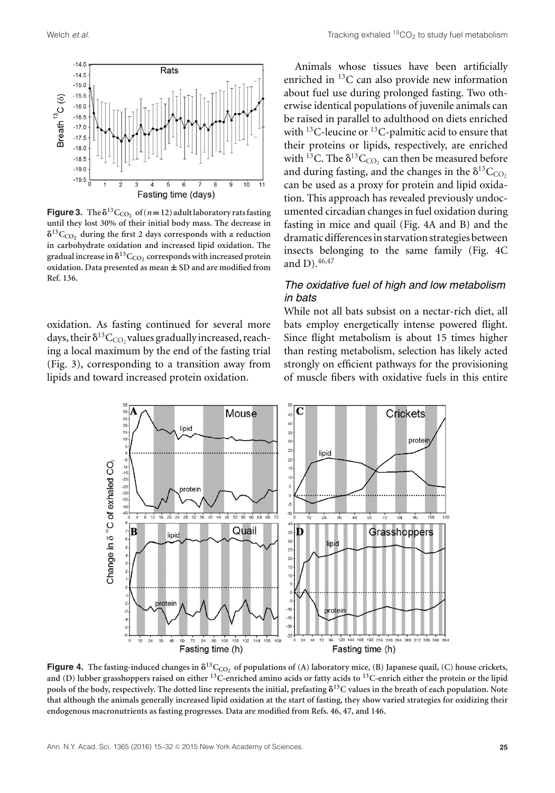

**Figure 3.** The  $\delta^{13}C_{CO_2}$  of ( $n=12$ ) adult laboratory rats fasting **until they lost 30% of their initial body mass. The decrease in**  $\delta^{13}C_{CO_2}$  during the first 2 days corresponds with a reduction **in carbohydrate oxidation and increased lipid oxidation. The**  $\mathbf{gradual}$  increase in  $\delta^{13}\mathrm{C}_{\mathrm{CO}_2}$  corresponds with increased protein **oxidation. Data presented as mean ± SD and are modified from Ref. 136.**

oxidation. As fasting continued for several more days, their  $\delta^{13}\mathrm{C}_{\mathrm{CO}_2}$  values gradually increased, reaching a local maximum by the end of the fasting trial (Fig. 3), corresponding to a transition away from lipids and toward increased protein oxidation.

Animals whose tissues have been artificially enriched in  $^{13}$ C can also provide new information about fuel use during prolonged fasting. Two otherwise identical populations of juvenile animals can be raised in parallel to adulthood on diets enriched with  $^{13}$ C-leucine or  $^{13}$ C-palmitic acid to ensure that their proteins or lipids, respectively, are enriched with  $^{13}$ C. The  $\delta^{13}$ C $_{\rm CO_2}$  can then be measured before and during fasting, and the changes in the  $\delta^{13}\mathrm{C}_{\mathrm{CO}_2}$ can be used as a proxy for protein and lipid oxidation. This approach has revealed previously undocumented circadian changes in fuel oxidation during fasting in mice and quail (Fig. 4A and B) and the dramatic differencesin starvation strategies between insects belonging to the same family (Fig. 4C and D).46,47

## *The oxidative fuel of high and low metabolism in bats*

While not all bats subsist on a nectar-rich diet, all bats employ energetically intense powered flight. Since flight metabolism is about 15 times higher than resting metabolism, selection has likely acted strongly on efficient pathways for the provisioning of muscle fibers with oxidative fuels in this entire



Figure 4. The fasting-induced changes in  $\delta^{13}C_{CO_2}$  of populations of (A) laboratory mice, (B) Japanese quail, (C) house crickets, **and (D) lubber grasshoppers raised on either 13C-enriched amino acids or fatty acids to 13C-enrich either the protein or the lipid** pools of the body, respectively. The dotted line represents the initial, prefasting  $\delta^{13}C$  values in the breath of each population. Note **that although the animals generally increased lipid oxidation at the start of fasting, they show varied strategies for oxidizing their endogenous macronutrients as fasting progresses. Data are modified from Refs. 46, 47, and 146.**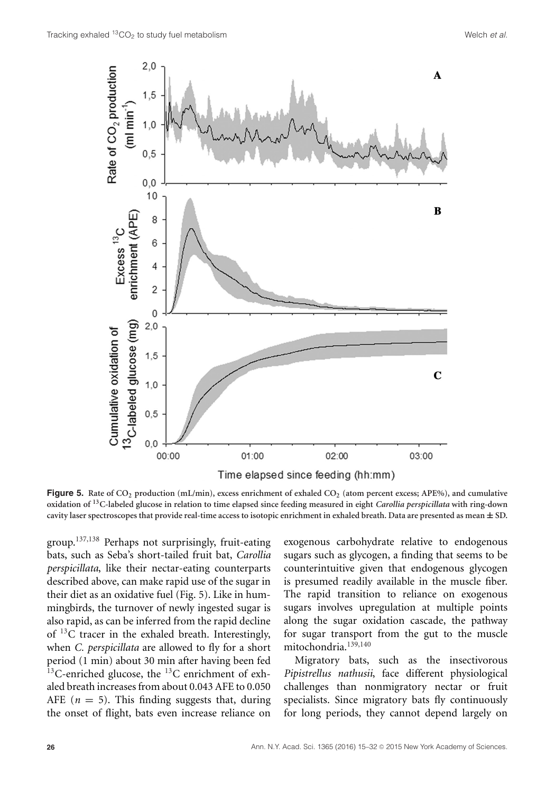

**Figure 5.** Rate of CO<sub>2</sub> production (mL/min), excess enrichment of exhaled CO<sub>2</sub> (atom percent excess; APE%), and cumulative **oxidation of 13C-labeled glucose in relation to time elapsed since feeding measured in eight** *Carollia perspicillata* **with ring-down cavity laser spectroscopes that provide real-time access to isotopic enrichment in exhaled breath. Data are presented as mean ± SD.**

group.<sup>137,138</sup> Perhaps not surprisingly, fruit-eating bats, such as Seba's short-tailed fruit bat, *Carollia perspicillata*, like their nectar-eating counterparts described above, can make rapid use of the sugar in their diet as an oxidative fuel (Fig. 5). Like in hummingbirds, the turnover of newly ingested sugar is also rapid, as can be inferred from the rapid decline of  $^{13}$ C tracer in the exhaled breath. Interestingly, when *C. perspicillata* are allowed to fly for a short period (1 min) about 30 min after having been fed  $^{13}$ C-enriched glucose, the  $^{13}$ C enrichment of exhaled breath increases from about 0.043 AFE to 0.050 AFE  $(n = 5)$ . This finding suggests that, during the onset of flight, bats even increase reliance on

exogenous carbohydrate relative to endogenous sugars such as glycogen, a finding that seems to be counterintuitive given that endogenous glycogen is presumed readily available in the muscle fiber. The rapid transition to reliance on exogenous sugars involves upregulation at multiple points along the sugar oxidation cascade, the pathway for sugar transport from the gut to the muscle mitochondria.139,140

Migratory bats, such as the insectivorous *Pipistrellus nathusii*, face different physiological challenges than nonmigratory nectar or fruit specialists. Since migratory bats fly continuously for long periods, they cannot depend largely on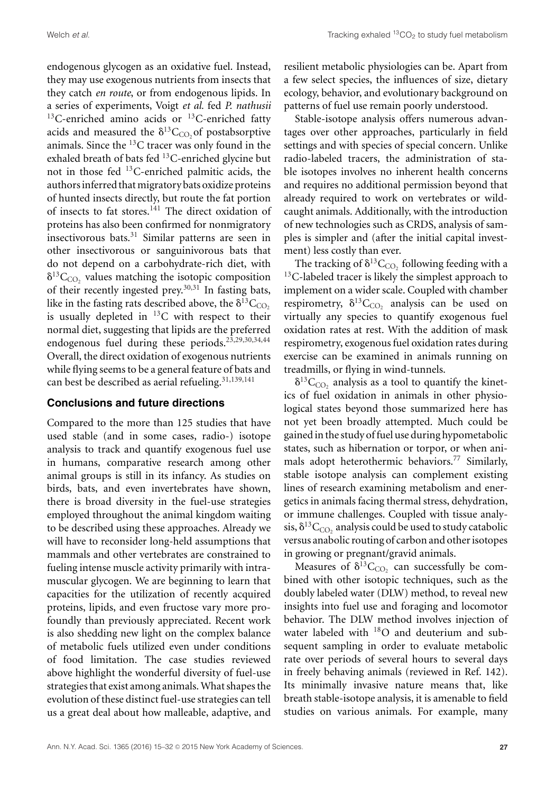endogenous glycogen as an oxidative fuel. Instead, they may use exogenous nutrients from insects that they catch *en route*, or from endogenous lipids. In a series of experiments, Voigt *et al.* fed *P. nathusii*  $13^{\circ}$ C-enriched amino acids or  $13^{\circ}$ C-enriched fatty acids and measured the  $\delta^{13}C_{CO_2}$ of postabsorptive animals. Since the  ${}^{13}$ C tracer was only found in the exhaled breath of bats fed 13C-enriched glycine but not in those fed 13C-enriched palmitic acids, the authors inferred that migratory bats oxidize proteins of hunted insects directly, but route the fat portion of insects to fat stores.<sup>141</sup> The direct oxidation of proteins has also been confirmed for nonmigratory insectivorous bats.31 Similar patterns are seen in other insectivorous or sanguinivorous bats that do not depend on a carbohydrate-rich diet, with  $\delta^{13}C_{CO_2}$  values matching the isotopic composition of their recently ingested prey.30,31 In fasting bats, like in the fasting rats described above, the  $\delta^{13}\mathrm{C}_{\mathrm{CO}_2}$ is usually depleted in  $^{13}$ C with respect to their normal diet, suggesting that lipids are the preferred endogenous fuel during these periods.<sup>23,29,30,34,44</sup> Overall, the direct oxidation of exogenous nutrients while flying seems to be a general feature of bats and can best be described as aerial refueling.<sup>31,139,141</sup>

## **Conclusions and future directions**

Compared to the more than 125 studies that have used stable (and in some cases, radio-) isotope analysis to track and quantify exogenous fuel use in humans, comparative research among other animal groups is still in its infancy. As studies on birds, bats, and even invertebrates have shown, there is broad diversity in the fuel-use strategies employed throughout the animal kingdom waiting to be described using these approaches. Already we will have to reconsider long-held assumptions that mammals and other vertebrates are constrained to fueling intense muscle activity primarily with intramuscular glycogen. We are beginning to learn that capacities for the utilization of recently acquired proteins, lipids, and even fructose vary more profoundly than previously appreciated. Recent work is also shedding new light on the complex balance of metabolic fuels utilized even under conditions of food limitation. The case studies reviewed above highlight the wonderful diversity of fuel-use strategies that exist among animals.What shapes the evolution of these distinct fuel-use strategies can tell us a great deal about how malleable, adaptive, and resilient metabolic physiologies can be. Apart from a few select species, the influences of size, dietary ecology, behavior, and evolutionary background on patterns of fuel use remain poorly understood.

Stable-isotope analysis offers numerous advantages over other approaches, particularly in field settings and with species of special concern. Unlike radio-labeled tracers, the administration of stable isotopes involves no inherent health concerns and requires no additional permission beyond that already required to work on vertebrates or wildcaught animals. Additionally, with the introduction of new technologies such as CRDS, analysis of samples is simpler and (after the initial capital investment) less costly than ever.

The tracking of  $\delta^{13}\mathrm{C}_{\mathrm{CO}_2}$  following feeding with a <sup>13</sup>C-labeled tracer is likely the simplest approach to implement on a wider scale. Coupled with chamber respirometry,  $\delta^{13}C_{CO_2}$  analysis can be used on virtually any species to quantify exogenous fuel oxidation rates at rest. With the addition of mask respirometry, exogenous fuel oxidation rates during exercise can be examined in animals running on treadmills, or flying in wind-tunnels.

 $\delta^{13}C_{CO_2}$  analysis as a tool to quantify the kinetics of fuel oxidation in animals in other physiological states beyond those summarized here has not yet been broadly attempted. Much could be gained in the study offuel use during hypometabolic states, such as hibernation or torpor, or when animals adopt heterothermic behaviors.<sup>77</sup> Similarly, stable isotope analysis can complement existing lines of research examining metabolism and energetics in animals facing thermal stress, dehydration, or immune challenges. Coupled with tissue analysis,  $\delta^{13}\mathrm{C}_{\mathrm{CO}_2}$  analysis could be used to study catabolic versus anabolic routing of carbon and other isotopes in growing or pregnant/gravid animals.

Measures of  $\delta^{13}C_{CO_2}$  can successfully be combined with other isotopic techniques, such as the doubly labeled water (DLW) method, to reveal new insights into fuel use and foraging and locomotor behavior. The DLW method involves injection of water labeled with  $^{18}O$  and deuterium and subsequent sampling in order to evaluate metabolic rate over periods of several hours to several days in freely behaving animals (reviewed in Ref. 142). Its minimally invasive nature means that, like breath stable-isotope analysis, it is amenable to field studies on various animals. For example, many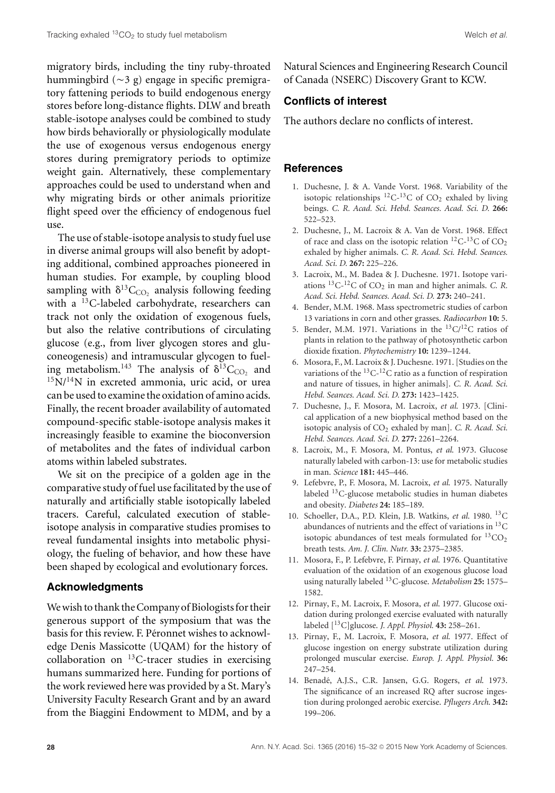migratory birds, including the tiny ruby-throated hummingbird (~3 g) engage in specific premigratory fattening periods to build endogenous energy stores before long-distance flights. DLW and breath stable-isotope analyses could be combined to study how birds behaviorally or physiologically modulate the use of exogenous versus endogenous energy stores during premigratory periods to optimize weight gain. Alternatively, these complementary approaches could be used to understand when and why migrating birds or other animals prioritize flight speed over the efficiency of endogenous fuel use.

The use of stable-isotope analysis to study fuel use in diverse animal groups will also benefit by adopting additional, combined approaches pioneered in human studies. For example, by coupling blood sampling with  $\delta^{13}C_{CO_2}$  analysis following feeding with a <sup>13</sup>C-labeled carbohydrate, researchers can track not only the oxidation of exogenous fuels, but also the relative contributions of circulating glucose (e.g., from liver glycogen stores and gluconeogenesis) and intramuscular glycogen to fueling metabolism.<sup>143</sup> The analysis of  $\delta^{13}C_{CO_2}$  and  $15N/14N$  in excreted ammonia, uric acid, or urea can be used to examine the oxidation of amino acids. Finally, the recent broader availability of automated compound-specific stable-isotope analysis makes it increasingly feasible to examine the bioconversion of metabolites and the fates of individual carbon atoms within labeled substrates.

We sit on the precipice of a golden age in the comparative study of fuel use facilitated by the use of naturally and artificially stable isotopically labeled tracers. Careful, calculated execution of stableisotope analysis in comparative studies promises to reveal fundamental insights into metabolic physiology, the fueling of behavior, and how these have been shaped by ecological and evolutionary forces.

#### **Acknowledgments**

We wish to thank the Company of Biologists for their generous support of the symposium that was the basis for this review. F. Péronnet wishes to acknowledge Denis Massicotte (UQAM) for the history of collaboration on  $^{13}$ C-tracer studies in exercising humans summarized here. Funding for portions of the work reviewed here was provided by a St. Mary's University Faculty Research Grant and by an award from the Biaggini Endowment to MDM, and by a

Natural Sciences and Engineering Research Council of Canada (NSERC) Discovery Grant to KCW.

## **Conflicts of interest**

The authors declare no conflicts of interest.

#### **References**

- 1. Duchesne, J. & A. Vande Vorst. 1968. Variability of the isotopic relationships  ${}^{12}C-{}^{13}C$  of  $CO<sub>2</sub>$  exhaled by living beings. *C. R. Acad. Sci. Hebd. Seances. Acad. Sci. D.* **266:** 522–523.
- 2. Duchesne, J., M. Lacroix & A. Van de Vorst. 1968. Effect of race and class on the isotopic relation  ${}^{12}C_{}^{13}C_{}$  of CO<sub>2</sub> exhaled by higher animals. *C. R. Acad. Sci. Hebd. Seances. Acad. Sci. D.* **267:** 225–226.
- 3. Lacroix, M., M. Badea & J. Duchesne. 1971. Isotope variations  ${}^{13}C^{-12}C$  of  $CO<sub>2</sub>$  in man and higher animals. *C. R. Acad. Sci. Hebd. Seances. Acad. Sci. D.* **273:** 240–241.
- 4. Bender, M.M. 1968. Mass spectrometric studies of carbon 13 variations in corn and other grasses. *Radiocarbon* **10:** 5.
- 5. Bender, M.M. 1971. Variations in the  $^{13}$ C/ $^{12}$ C ratios of plants in relation to the pathway of photosynthetic carbon dioxide fixation. *Phytochemistry* **10:** 1239–1244.
- 6. Mosora, F., M. Lacroix & J. Duchesne. 1971. [Studies on the variations of the 13C-12C ratio as a function of respiration and nature of tissues, in higher animals]. *C. R. Acad. Sci. Hebd. Seances. Acad. Sci. D.* **273:** 1423–1425.
- 7. Duchesne, J., F. Mosora, M. Lacroix, *et al*. 1973. [Clinical application of a new biophysical method based on the isotopic analysis of CO<sub>2</sub> exhaled by man]. *C. R. Acad. Sci. Hebd. Seances. Acad. Sci. D.* **277:** 2261–2264.
- 8. Lacroix, M., F. Mosora, M. Pontus, *et al*. 1973. Glucose naturally labeled with carbon-13: use for metabolic studies in man. *Science* **181:** 445–446.
- 9. Lefebvre, P., F. Mosora, M. Lacroix, *et al*. 1975. Naturally labeled  $^{13}$ C-glucose metabolic studies in human diabetes and obesity. *Diabetes* **24:** 185–189.
- 10. Schoeller, D.A., P.D. Klein, J.B. Watkins, *et al*. 1980. 13C abundances of nutrients and the effect of variations in  $^{13}\mathrm{C}$ isotopic abundances of test meals formulated for  ${}^{13}CO_2$ breath tests. *Am. J. Clin. Nutr.* **33:** 2375–2385.
- 11. Mosora, F., P. Lefebvre, F. Pirnay, *et al*. 1976. Quantitative evaluation of the oxidation of an exogenous glucose load using naturally labeled 13C-glucose. *Metabolism* **25:** 1575– 1582.
- 12. Pirnay, F., M. Lacroix, F. Mosora, *et al*. 1977. Glucose oxidation during prolonged exercise evaluated with naturally labeled [13C]glucose. *J. Appl. Physiol.* **43:** 258–261.
- 13. Pirnay, F., M. Lacroix, F. Mosora, *et al*. 1977. Effect of glucose ingestion on energy substrate utilization during prolonged muscular exercise. *Europ. J. Appl. Physiol.* **36:** 247–254.
- 14. Benadé, A.J.S., C.R. Jansen, G.G. Rogers, et al. 1973. The significance of an increased RQ after sucrose ingestion during prolonged aerobic exercise. *Pflugers Arch*. **342:** 199–206.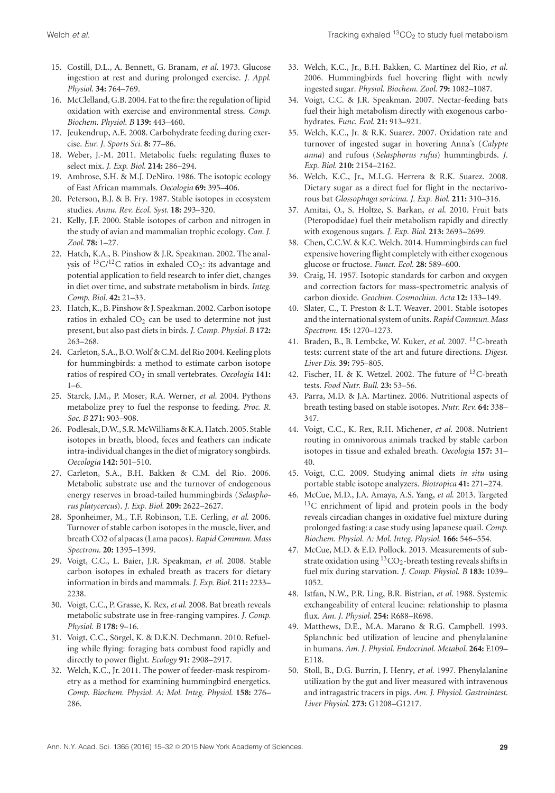- 15. Costill, D.L., A. Bennett, G. Branam, *et al*. 1973. Glucose ingestion at rest and during prolonged exercise. *J. Appl. Physiol.* **34:** 764–769.
- 16. McClelland, G.B. 2004. Fat to the fire: the regulation of lipid oxidation with exercise and environmental stress. *Comp. Biochem. Physiol. B* **139:** 443–460.
- 17. Jeukendrup, A.E. 2008. Carbohydrate feeding during exercise. *Eur. J. Sports Sci.* **8:** 77–86.
- 18. Weber, J.-M. 2011. Metabolic fuels: regulating fluxes to select mix. *J. Exp. Biol.* **214:** 286–294.
- 19. Ambrose, S.H. & M.J. DeNiro. 1986. The isotopic ecology of East African mammals. *Oecologia* **69:** 395–406.
- 20. Peterson, B.J. & B. Fry. 1987. Stable isotopes in ecosystem studies. *Annu. Rev. Ecol. Syst.* **18:** 293–320.
- 21. Kelly, J.F. 2000. Stable isotopes of carbon and nitrogen in the study of avian and mammalian trophic ecology. *Can. J. Zool.* **78:** 1–27.
- 22. Hatch, K.A., B. Pinshow & J.R. Speakman. 2002. The analysis of <sup>13</sup>C/<sup>12</sup>C ratios in exhaled CO<sub>2</sub>: its advantage and potential application to field research to infer diet, changes in diet over time, and substrate metabolism in birds. *Integ. Comp. Biol.* **42:** 21–33.
- 23. Hatch, K., B. Pinshow & J. Speakman. 2002. Carbon isotope ratios in exhaled CO<sub>2</sub> can be used to determine not just present, but also past diets in birds. *J. Comp. Physiol. B* **172:** 263–268.
- 24. Carleton, S.A., B.O.Wolf & C.M. del Rio 2004. Keeling plots for hummingbirds: a method to estimate carbon isotope ratios of respired CO2 in small vertebrates. *Oecologia* **141:** 1–6.
- 25. Starck, J.M., P. Moser, R.A. Werner, *et al*. 2004. Pythons metabolize prey to fuel the response to feeding. *Proc. R. Soc. B* **271:** 903–908.
- 26. Podlesak, D.W., S.R. McWilliams & K.A. Hatch. 2005. Stable isotopes in breath, blood, feces and feathers can indicate intra-individual changes in the diet of migratory songbirds. *Oecologia* **142:** 501–510.
- 27. Carleton, S.A., B.H. Bakken & C.M. del Rio. 2006. Metabolic substrate use and the turnover of endogenous energy reserves in broad-tailed hummingbirds (*Selasphorus platycercus*). *J. Exp. Biol.* **209:** 2622–2627.
- 28. Sponheimer, M., T.F. Robinson, T.E. Cerling, *et al*. 2006. Turnover of stable carbon isotopes in the muscle, liver, and breath CO2 of alpacas (Lama pacos). *Rapid Commun. Mass Spectrom.* **20:** 1395–1399.
- 29. Voigt, C.C., L. Baier, J.R. Speakman, *et al*. 2008. Stable carbon isotopes in exhaled breath as tracers for dietary information in birds and mammals. *J. Exp. Biol.* **211:** 2233– 2238.
- 30. Voigt, C.C., P. Grasse, K. Rex, *et al*. 2008. Bat breath reveals metabolic substrate use in free-ranging vampires. *J. Comp. Physiol. B* **178:** 9–16.
- 31. Voigt, C.C., Sörgel, K. & D.K.N. Dechmann. 2010. Refueling while flying: foraging bats combust food rapidly and directly to power flight. *Ecology* **91:** 2908–2917.
- 32. Welch, K.C., Jr. 2011. The power of feeder-mask respirometry as a method for examining hummingbird energetics. *Comp. Biochem. Physiol. A: Mol. Integ. Physiol.* **158:** 276– 286.
- 33. Welch, K.C., Jr., B.H. Bakken, C. Mart´ınez del Rio, *et al*. 2006. Hummingbirds fuel hovering flight with newly ingested sugar. *Physiol. Biochem. Zool.* **79:** 1082–1087.
- 34. Voigt, C.C. & J.R. Speakman. 2007. Nectar-feeding bats fuel their high metabolism directly with exogenous carbohydrates. *Func. Ecol.* **21:** 913–921.
- 35. Welch, K.C., Jr. & R.K. Suarez. 2007. Oxidation rate and turnover of ingested sugar in hovering Anna's (*Calypte anna*) and rufous (*Selasphorus rufus*) hummingbirds. *J. Exp. Biol.* **210:** 2154–2162.
- 36. Welch, K.C., Jr., M.L.G. Herrera & R.K. Suarez. 2008. Dietary sugar as a direct fuel for flight in the nectarivorous bat *Glossophaga soricina*. *J. Exp. Biol.* **211:** 310–316.
- 37. Amitai, O., S. Holtze, S. Barkan, *et al*. 2010. Fruit bats (Pteropodidae) fuel their metabolism rapidly and directly with exogenous sugars. *J. Exp. Biol.* **213:** 2693–2699.
- 38. Chen, C.C.W. & K.C. Welch. 2014. Hummingbirds can fuel expensive hovering flight completely with either exogenous glucose or fructose. *Funct. Ecol.* **28:** 589–600.
- 39. Craig, H. 1957. Isotopic standards for carbon and oxygen and correction factors for mass-spectrometric analysis of carbon dioxide. *Geochim. Cosmochim. Acta* **12:** 133–149.
- 40. Slater, C., T. Preston & L.T. Weaver. 2001. Stable isotopes and the international system of units. *Rapid Commun. Mass Spectrom.* **15:** 1270–1273.
- 41. Braden, B., B. Lembcke, W. Kuker, *et al*. 2007. 13C-breath tests: current state of the art and future directions. *Digest. Liver Dis.* **39:** 795–805.
- 42. Fischer, H. & K. Wetzel. 2002. The future of  $^{13}$ C-breath tests. *Food Nutr. Bull.* **23:** 53–56.
- 43. Parra, M.D. & J.A. Martinez. 2006. Nutritional aspects of breath testing based on stable isotopes. *Nutr. Rev.* **64:** 338– 347.
- 44. Voigt, C.C., K. Rex, R.H. Michener, *et al*. 2008. Nutrient routing in omnivorous animals tracked by stable carbon isotopes in tissue and exhaled breath. *Oecologia* **157:** 31– 40.
- 45. Voigt, C.C. 2009. Studying animal diets *in situ* using portable stable isotope analyzers. *Biotropica* **41:** 271–274.
- 46. McCue, M.D., J.A. Amaya, A.S. Yang, *et al*. 2013. Targeted  $13^{\circ}$ C enrichment of lipid and protein pools in the body reveals circadian changes in oxidative fuel mixture during prolonged fasting: a case study using Japanese quail. *Comp. Biochem. Physiol. A: Mol. Integ. Physiol.* **166:** 546–554.
- 47. McCue, M.D. & E.D. Pollock. 2013. Measurements of substrate oxidation using  ${}^{13}CO_2$ -breath testing reveals shifts in fuel mix during starvation. *J. Comp. Physiol. B* **183:** 1039– 1052.
- 48. Istfan, N.W., P.R. Ling, B.R. Bistrian, *et al*. 1988. Systemic exchangeability of enteral leucine: relationship to plasma flux. *Am. J. Physiol.* **254:** R688–R698.
- 49. Matthews, D.E., M.A. Marano & R.G. Campbell. 1993. Splanchnic bed utilization of leucine and phenylalanine in humans. *Am. J. Physiol. Endocrinol. Metabol.* **264:** E109– E118.
- 50. Stoll, B., D.G. Burrin, J. Henry, *et al*. 1997. Phenylalanine utilization by the gut and liver measured with intravenous and intragastric tracers in pigs. *Am. J. Physiol. Gastrointest. Liver Physiol.* **273:** G1208–G1217.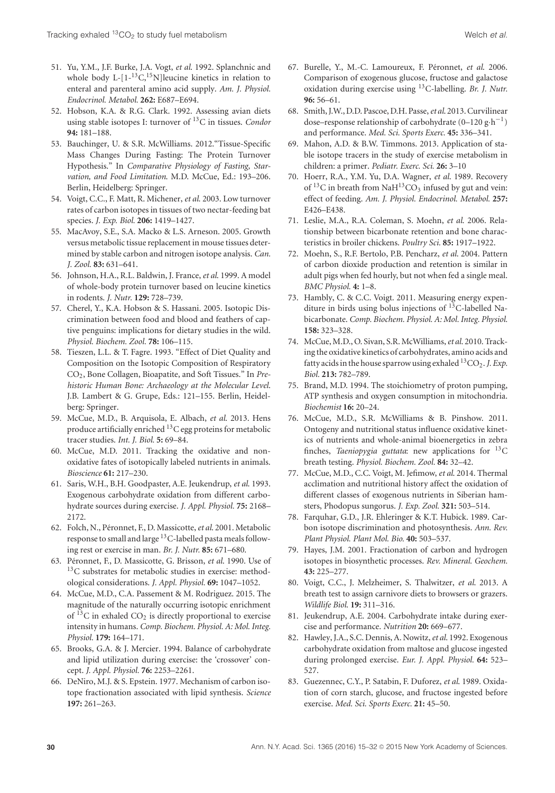- 51. Yu, Y.M., J.F. Burke, J.A. Vogt, *et al*. 1992. Splanchnic and whole body L- $[1 - {^{13}C, {^{15}N}}]$ leucine kinetics in relation to enteral and parenteral amino acid supply. *Am. J. Physiol. Endocrinol. Metabol.* **262:** E687–E694.
- 52. Hobson, K.A. & R.G. Clark. 1992. Assessing avian diets using stable isotopes I: turnover of 13C in tissues. *Condor* **94:** 181–188.
- 53. Bauchinger, U. & S.R. McWilliams. 2012."Tissue-Specific Mass Changes During Fasting: The Protein Turnover Hypothesis." In *Comparative Physiology of Fasting, Starvation, and Food Limitation*. M.D. McCue, Ed.: 193–206. Berlin, Heidelberg: Springer.
- 54. Voigt, C.C., F. Matt, R. Michener, *et al*. 2003. Low turnover rates of carbon isotopes in tissues of two nectar-feeding bat species. *J. Exp. Biol.* **206:** 1419–1427.
- 55. MacAvoy, S.E., S.A. Macko & L.S. Arneson. 2005. Growth versus metabolic tissue replacement in mouse tissues determined by stable carbon and nitrogen isotope analysis. *Can. J. Zool.* **83:** 631–641.
- 56. Johnson, H.A., R.L. Baldwin, J. France,*et al*. 1999. A model of whole-body protein turnover based on leucine kinetics in rodents. *J. Nutr.* **129:** 728–739.
- 57. Cherel, Y., K.A. Hobson & S. Hassani. 2005. Isotopic Discrimination between food and blood and feathers of captive penguins: implications for dietary studies in the wild. *Physiol. Biochem. Zool.* **78:** 106–115.
- 58. Tieszen, L.L. & T. Fagre. 1993. "Effect of Diet Quality and Composition on the Isotopic Composition of Respiratory CO2, Bone Collagen, Bioapatite, and Soft Tissues." In *Prehistoric Human Bone: Archaeology at the Molecular Level*. J.B. Lambert & G. Grupe, Eds.: 121–155. Berlin, Heidelberg: Springer.
- 59. McCue, M.D., B. Arquisola, E. Albach, *et al*. 2013. Hens produce artificially enriched  $^{13}$ C egg proteins for metabolic tracer studies. *Int. J. Biol.* **5:** 69–84.
- 60. McCue, M.D. 2011. Tracking the oxidative and nonoxidative fates of isotopically labeled nutrients in animals. *Bioscience* **61:** 217–230.
- 61. Saris, W.H., B.H. Goodpaster, A.E. Jeukendrup, *et al*. 1993. Exogenous carbohydrate oxidation from different carbohydrate sources during exercise. *J. Appl. Physiol.* **75:** 2168– 2172.
- 62. Folch, N., Péronnet, F., D. Massicotte, et al. 2001. Metabolic response to small and large <sup>13</sup>C-labelled pasta meals following rest or exercise in man. *Br. J. Nutr.* **85:** 671–680.
- 63. Péronnet, F., D. Massicotte, G. Brisson, et al. 1990. Use of <sup>13</sup>C substrates for metabolic studies in exercise: methodological considerations. *J. Appl. Physiol.* **69:** 1047–1052.
- 64. McCue, M.D., C.A. Passement & M. Rodriguez. 2015. The magnitude of the naturally occurring isotopic enrichment of  $^{13}$ C in exhaled CO<sub>2</sub> is directly proportional to exercise intensity in humans. *Comp. Biochem. Physiol. A: Mol. Integ. Physiol.* **179:** 164–171.
- 65. Brooks, G.A. & J. Mercier. 1994. Balance of carbohydrate and lipid utilization during exercise: the 'crossover' concept. *J. Appl. Physiol.* **76:** 2253–2261.
- 66. DeNiro, M.J. & S. Epstein. 1977. Mechanism of carbon isotope fractionation associated with lipid synthesis. *Science* **197:** 261–263.
- 67. Burelle, Y., M.-C. Lamoureux, F. Péronnet, et al. 2006. Comparison of exogenous glucose, fructose and galactose oxidation during exercise using 13C-labelling. *Br. J. Nutr.* **96:** 56–61.
- 68. Smith, J.W., D.D. Pascoe, D.H. Passe,*et al*. 2013. Curvilinear dose–response relationship of carbohydrate  $(0-120 \text{ g} \cdot \text{h}^{-1})$ and performance. *Med. Sci. Sports Exerc.* **45:** 336–341.
- 69. Mahon, A.D. & B.W. Timmons. 2013. Application of stable isotope tracers in the study of exercise metabolism in children: a primer. *Pediatr. Exerc. Sci.* **26:** 3–10
- 70. Hoerr, R.A., Y.M. Yu, D.A. Wagner, *et al*. 1989. Recovery of  $^{13}$ C in breath from NaH $^{13}$ CO<sub>3</sub> infused by gut and vein: effect of feeding. *Am. J. Physiol. Endocrinol. Metabol.* **257:** E426–E438.
- 71. Leslie, M.A., R.A. Coleman, S. Moehn, *et al*. 2006. Relationship between bicarbonate retention and bone characteristics in broiler chickens. *Poultry Sci.* **85:** 1917–1922.
- 72. Moehn, S., R.F. Bertolo, P.B. Pencharz, *et al*. 2004. Pattern of carbon dioxide production and retention is similar in adult pigs when fed hourly, but not when fed a single meal. *BMC Physiol.* **4:** 1–8.
- 73. Hambly, C. & C.C. Voigt. 2011. Measuring energy expenditure in birds using bolus injections of <sup>13</sup>C-labelled Nabicarbonate. *Comp. Biochem. Physiol. A: Mol. Integ. Physiol.* **158:** 323–328.
- 74. McCue, M.D., O. Sivan, S.R. McWilliams,*et al*. 2010. Tracking the oxidative kinetics of carbohydrates, amino acids and fatty acids in the house sparrow using exhaled  ${}^{13}CO_2$ . *J. Exp. Biol.* **213:** 782–789.
- 75. Brand, M.D. 1994. The stoichiometry of proton pumping, ATP synthesis and oxygen consumption in mitochondria. *Biochemist* **16:** 20–24.
- 76. McCue, M.D., S.R. McWilliams & B. Pinshow. 2011. Ontogeny and nutritional status influence oxidative kinetics of nutrients and whole-animal bioenergetics in zebra finches, *Taeniopygia guttata*: new applications for 13C breath testing. *Physiol. Biochem. Zool.* **84:** 32–42.
- 77. McCue, M.D., C.C. Voigt, M. Jefimow, *et al*. 2014. Thermal acclimation and nutritional history affect the oxidation of different classes of exogenous nutrients in Siberian hamsters, Phodopus sungorus. *J. Exp. Zool.* **321:** 503–514.
- 78. Farquhar, G.D., J.R. Ehleringer & K.T. Hubick. 1989. Carbon isotope discrimination and photosynthesis. *Ann. Rev. Plant Physiol. Plant Mol. Bio.* **40:** 503–537.
- 79. Hayes, J.M. 2001. Fractionation of carbon and hydrogen isotopes in biosynthetic processes. *Rev. Mineral. Geochem.* **43:** 225–277.
- 80. Voigt, C.C., J. Melzheimer, S. Thalwitzer, *et al*. 2013. A breath test to assign carnivore diets to browsers or grazers. *Wildlife Biol*. **19:** 311–316.
- 81. Jeukendrup, A.E. 2004. Carbohydrate intake during exercise and performance. *Nutrition* **20:** 669–677.
- 82. Hawley, J.A., S.C. Dennis, A. Nowitz,*et al*. 1992. Exogenous carbohydrate oxidation from maltose and glucose ingested during prolonged exercise. *Eur. J. Appl. Physiol.* **64:** 523– 527.
- 83. Guezennec, C.Y., P. Satabin, F. Duforez, *et al*. 1989. Oxidation of corn starch, glucose, and fructose ingested before exercise. *Med. Sci. Sports Exerc.* **21:** 45–50.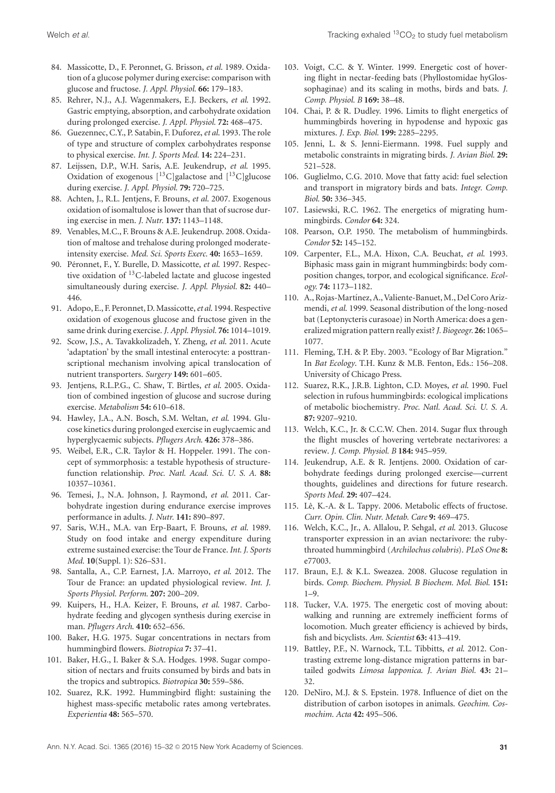- 84. Massicotte, D., F. Peronnet, G. Brisson, *et al*. 1989. Oxidation of a glucose polymer during exercise: comparison with glucose and fructose. *J. Appl. Physiol.* **66:** 179–183.
- 85. Rehrer, N.J., A.J. Wagenmakers, E.J. Beckers, *et al*. 1992. Gastric emptying, absorption, and carbohydrate oxidation during prolonged exercise. *J. Appl. Physiol.* **72:** 468–475.
- 86. Guezennec, C.Y., P. Satabin, F. Duforez,*et al*. 1993. The role of type and structure of complex carbohydrates response to physical exercise. *Int. J. Sports Med.* **14:** 224–231.
- 87. Leijssen, D.P., W.H. Saris, A.E. Jeukendrup, *et al*. 1995. Oxidation of exogenous  $[{}^{13}C]$ galactose and  $[{}^{13}C]$ glucose during exercise. *J. Appl. Physiol.* **79:** 720–725.
- 88. Achten, J., R.L. Jentjens, F. Brouns, *et al*. 2007. Exogenous oxidation of isomaltulose is lower than that of sucrose during exercise in men. *J. Nutr.* **137:** 1143–1148.
- 89. Venables, M.C., F. Brouns & A.E. Jeukendrup. 2008. Oxidation of maltose and trehalose during prolonged moderateintensity exercise. *Med. Sci. Sports Exerc.* **40:** 1653–1659.
- 90. Péronnet, F., Y. Burelle, D. Massicotte, et al. 1997. Respective oxidation of 13C-labeled lactate and glucose ingested simultaneously during exercise. *J. Appl. Physiol.* **82:** 440– 446.
- 91. Adopo, E., F. Peronnet, D.Massicotte,*et al*. 1994. Respective oxidation of exogenous glucose and fructose given in the same drink during exercise. *J. Appl. Physiol.* **76:** 1014–1019.
- 92. Scow, J.S., A. Tavakkolizadeh, Y. Zheng, *et al*. 2011. Acute 'adaptation' by the small intestinal enterocyte: a posttranscriptional mechanism involving apical translocation of nutrient transporters. *Surgery* **149:** 601–605.
- 93. Jentjens, R.L.P.G., C. Shaw, T. Birtles, *et al*. 2005. Oxidation of combined ingestion of glucose and sucrose during exercise. *Metabolism* **54:** 610–618.
- 94. Hawley, J.A., A.N. Bosch, S.M. Weltan, *et al*. 1994. Glucose kinetics during prolonged exercise in euglycaemic and hyperglycaemic subjects. *Pflugers Arch*. **426:** 378–386.
- 95. Weibel, E.R., C.R. Taylor & H. Hoppeler. 1991. The concept of symmorphosis: a testable hypothesis of structurefunction relationship. *Proc. Natl. Acad. Sci. U. S. A.* **88:** 10357–10361.
- 96. Temesi, J., N.A. Johnson, J. Raymond, *et al*. 2011. Carbohydrate ingestion during endurance exercise improves performance in adults. *J. Nutr.* **141:** 890–897.
- 97. Saris, W.H., M.A. van Erp-Baart, F. Brouns, *et al*. 1989. Study on food intake and energy expenditure during extreme sustained exercise: the Tour de France. *Int. J. Sports Med.* **10**(Suppl. 1): S26–S31.
- 98. Santalla, A., C.P. Earnest, J.A. Marroyo, *et al*. 2012. The Tour de France: an updated physiological review. *Int. J. Sports Physiol. Perform.* **207:** 200–209.
- 99. Kuipers, H., H.A. Keizer, F. Brouns, *et al*. 1987. Carbohydrate feeding and glycogen synthesis during exercise in man. *Pflugers Arch*. **410:** 652–656.
- 100. Baker, H.G. 1975. Sugar concentrations in nectars from hummingbird flowers. *Biotropica* **7:** 37–41.
- 101. Baker, H.G., I. Baker & S.A. Hodges. 1998. Sugar composition of nectars and fruits consumed by birds and bats in the tropics and subtropics. *Biotropica* **30:** 559–586.
- 102. Suarez, R.K. 1992. Hummingbird flight: sustaining the highest mass-specific metabolic rates among vertebrates. *Experientia* **48:** 565–570.
- 103. Voigt, C.C. & Y. Winter. 1999. Energetic cost of hovering flight in nectar-feeding bats (Phyllostomidae hyGlossophaginae) and its scaling in moths, birds and bats. *J. Comp. Physiol. B* **169:** 38–48.
- 104. Chai, P. & R. Dudley. 1996. Limits to flight energetics of hummingbirds hovering in hypodense and hypoxic gas mixtures. *J. Exp. Biol.* **199:** 2285–2295.
- 105. Jenni, L. & S. Jenni-Eiermann. 1998. Fuel supply and metabolic constraints in migrating birds. *J. Avian Biol.* **29:** 521–528.
- 106. Guglielmo, C.G. 2010. Move that fatty acid: fuel selection and transport in migratory birds and bats. *Integr. Comp. Biol.* **50:** 336–345.
- 107. Lasiewski, R.C. 1962. The energetics of migrating hummingbirds. *Condor* **64:** 324.
- 108. Pearson, O.P. 1950. The metabolism of hummingbirds. *Condor* **52:** 145–152.
- 109. Carpenter, F.L., M.A. Hixon, C.A. Beuchat, *et al*. 1993. Biphasic mass gain in migrant hummingbirds: body composition changes, torpor, and ecological significance. *Ecology.* **74:** 1173–1182.
- 110. A., Rojas-Martínez, A., Valiente-Banuet, M., Del Coro Arizmendi, *et al*. 1999. Seasonal distribution of the long-nosed bat (Leptonycteris curasoae) in North America: does a generalized migration pattern really exist?*J. Biogeogr.* **26:** 1065– 1077.
- 111. Fleming, T.H. & P. Eby. 2003. "Ecology of Bar Migration." In *Bat Ecology*. T.H. Kunz & M.B. Fenton, Eds.: 156–208. University of Chicago Press.
- 112. Suarez, R.K., J.R.B. Lighton, C.D. Moyes, *et al*. 1990. Fuel selection in rufous hummingbirds: ecological implications of metabolic biochemistry. *Proc. Natl. Acad. Sci. U. S. A.* **87:** 9207–9210.
- 113. Welch, K.C., Jr. & C.C.W. Chen. 2014. Sugar flux through the flight muscles of hovering vertebrate nectarivores: a review. *J. Comp. Physiol. B* **184:** 945–959.
- 114. Jeukendrup, A.E. & R. Jentjens. 2000. Oxidation of carbohydrate feedings during prolonged exercise—current thoughts, guidelines and directions for future research. *Sports Med.* **29:** 407–424.
- 115. Lê, K.-A. & L. Tappy. 2006. Metabolic effects of fructose. *Curr. Opin. Clin. Nutr. Metab. Care* **9:** 469–475.
- 116. Welch, K.C., Jr., A. Allalou, P. Sehgal, *et al*. 2013. Glucose transporter expression in an avian nectarivore: the rubythroated hummingbird (*Archilochus colubris*). *PLoS One* **8:** e77003.
- 117. Braun, E.J. & K.L. Sweazea. 2008. Glucose regulation in birds. *Comp. Biochem. Physiol. B Biochem. Mol. Biol.* **151:** 1–9.
- 118. Tucker, V.A. 1975. The energetic cost of moving about: walking and running are extremely inefficient forms of locomotion. Much greater efficiency is achieved by birds, fish and bicyclists. *Am. Scientist* **63:** 413–419.
- 119. Battley, P.F., N. Warnock, T.L. Tibbitts, *et al*. 2012. Contrasting extreme long-distance migration patterns in bartailed godwits *Limosa lapponica*. *J. Avian Biol.* **43:** 21– 32.
- 120. DeNiro, M.J. & S. Epstein. 1978. Influence of diet on the distribution of carbon isotopes in animals. *Geochim. Cosmochim. Acta* **42:** 495–506.